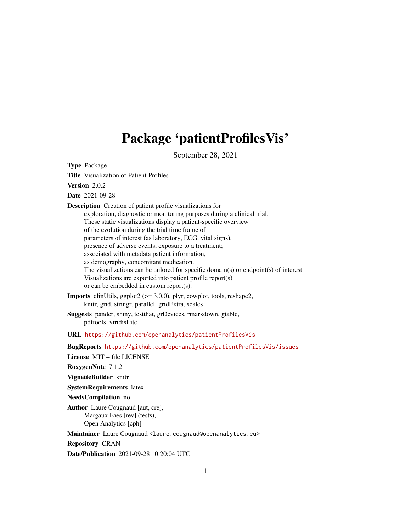# Package 'patientProfilesVis'

September 28, 2021

<span id="page-0-0"></span>Type Package

Title Visualization of Patient Profiles

Version 2.0.2

Date 2021-09-28

Description Creation of patient profile visualizations for exploration, diagnostic or monitoring purposes during a clinical trial. These static visualizations display a patient-specific overview of the evolution during the trial time frame of parameters of interest (as laboratory, ECG, vital signs), presence of adverse events, exposure to a treatment; associated with metadata patient information, as demography, concomitant medication. The visualizations can be tailored for specific domain(s) or endpoint(s) of interest. Visualizations are exported into patient profile report(s) or can be embedded in custom report(s). **Imports** clinUtils, ggplot2 ( $> = 3.0.0$ ), plyr, cowplot, tools, reshape2, knitr, grid, stringr, parallel, gridExtra, scales Suggests pander, shiny, testthat, grDevices, rmarkdown, gtable, pdftools, viridisLite URL <https://github.com/openanalytics/patientProfilesVis> BugReports <https://github.com/openanalytics/patientProfilesVis/issues> License MIT + file LICENSE RoxygenNote 7.1.2 VignetteBuilder knitr SystemRequirements latex NeedsCompilation no Author Laure Cougnaud [aut, cre], Margaux Faes [rev] (tests), Open Analytics [cph] Maintainer Laure Cougnaud <laure.cougnaud@openanalytics.eu> Repository CRAN Date/Publication 2021-09-28 10:20:04 UTC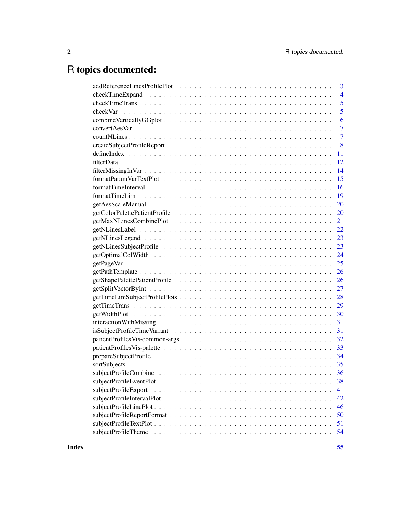## R topics documented:

| 3                          |
|----------------------------|
| $\overline{4}$             |
| 5                          |
| 5                          |
| 6                          |
| $\overline{7}$             |
| $\overline{7}$             |
| 8                          |
| 11                         |
| 12                         |
| 14                         |
| 15                         |
| 16                         |
|                            |
|                            |
|                            |
|                            |
|                            |
|                            |
|                            |
| 24                         |
|                            |
| 26                         |
|                            |
|                            |
| 28                         |
| 29                         |
| 30                         |
|                            |
|                            |
| 32                         |
| 33                         |
| 34                         |
|                            |
|                            |
|                            |
| subjectProfileExport<br>41 |
| 42                         |
| 46                         |
| 50                         |
| 51                         |
| 54                         |
|                            |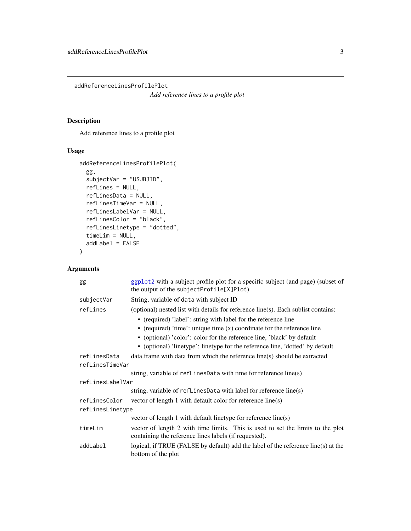<span id="page-2-0"></span>addReferenceLinesProfilePlot

*Add reference lines to a profile plot*

## Description

Add reference lines to a profile plot

## Usage

```
addReferenceLinesProfilePlot(
  gg,
  subjectVar = "USUBJID",
  refLines = NULL,
  refLinesData = NULL,
  refLinesTimeVar = NULL,
  refLinesLabelVar = NULL,
  refLinesColor = "black",
  refLinesLinetype = "dotted",
  timeLim = NULL,
  addLabel = FALSE
\mathcal{L}
```

| gg               | ggplot2 with a subject profile plot for a specific subject (and page) (subset of<br>the output of the subjectProfile[X]Plot)             |
|------------------|------------------------------------------------------------------------------------------------------------------------------------------|
| subjectVar       | String, variable of data with subject ID                                                                                                 |
| refLines         | (optional) nested list with details for reference line(s). Each sublist contains:                                                        |
|                  | • (required) 'label': string with label for the reference line                                                                           |
|                  | • (required) 'time': unique time $(x)$ coordinate for the reference line                                                                 |
|                  | • (optional) 'color': color for the reference line, 'black' by default                                                                   |
|                  | • (optional) 'linetype': linetype for the reference line, 'dotted' by default                                                            |
| refLinesData     | data. frame with data from which the reference line(s) should be extracted                                                               |
| refLinesTimeVar  |                                                                                                                                          |
|                  | string, variable of $refLinesData$ with time for reference line(s)                                                                       |
| refLinesLabelVar |                                                                                                                                          |
|                  | string, variable of refLinesData with label for reference line(s)                                                                        |
| refLinesColor    | vector of length 1 with default color for reference line(s)                                                                              |
| refLinesLinetype |                                                                                                                                          |
|                  | vector of length 1 with default linetype for reference line(s)                                                                           |
| timeLim          | vector of length 2 with time limits. This is used to set the limits to the plot<br>containing the reference lines labels (if requested). |
| addLabel         | logical, if TRUE (FALSE by default) add the label of the reference line(s) at the<br>bottom of the plot                                  |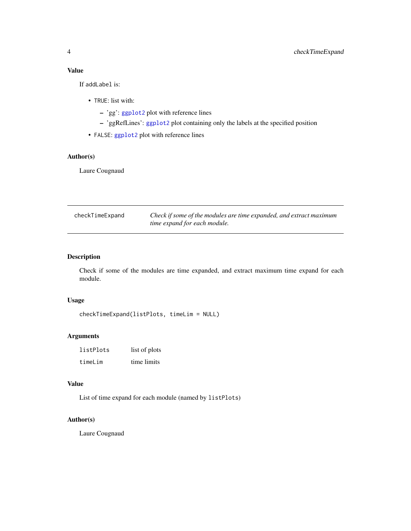<span id="page-3-0"></span>If addLabel is:

- TRUE: list with:
	- 'gg': [ggplot2](#page-0-0) plot with reference lines
	- 'ggRefLines': [ggplot2](#page-0-0) plot containing only the labels at the specified position
- FALSE: [ggplot2](#page-0-0) plot with reference lines

## Author(s)

Laure Cougnaud

| checkTimeExpand | Check if some of the modules are time expanded, and extract maximum |
|-----------------|---------------------------------------------------------------------|
|                 | time expand for each module.                                        |

## Description

Check if some of the modules are time expanded, and extract maximum time expand for each module.

#### Usage

```
checkTimeExpand(listPlots, timeLim = NULL)
```
#### Arguments

| listPlots | list of plots |
|-----------|---------------|
| timeLim   | time limits   |

#### Value

List of time expand for each module (named by listPlots)

#### Author(s)

Laure Cougnaud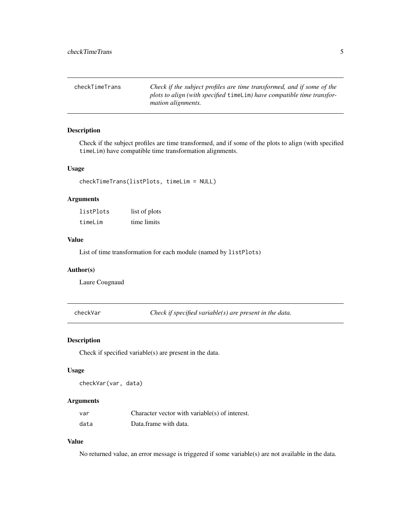<span id="page-4-0"></span>

| checkTimeTrans | Check if the subject profiles are time transformed, and if some of the |
|----------------|------------------------------------------------------------------------|
|                | plots to align (with specified timelim) have compatible time transfor- |
|                | <i>mation alignments.</i>                                              |

## Description

Check if the subject profiles are time transformed, and if some of the plots to align (with specified timeLim) have compatible time transformation alignments.

## Usage

checkTimeTrans(listPlots, timeLim = NULL)

## Arguments

| listPlots | list of plots |
|-----------|---------------|
| timeLim   | time limits   |

## Value

List of time transformation for each module (named by listPlots)

#### Author(s)

Laure Cougnaud

checkVar *Check if specified variable(s) are present in the data.*

#### Description

Check if specified variable(s) are present in the data.

#### Usage

checkVar(var, data)

## Arguments

| var  | Character vector with variable( $s$ ) of interest. |
|------|----------------------------------------------------|
| data | Data.frame with data.                              |

#### Value

No returned value, an error message is triggered if some variable(s) are not available in the data.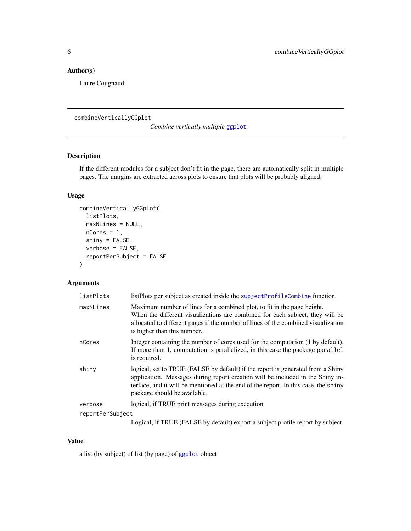## <span id="page-5-0"></span>Author(s)

Laure Cougnaud

<span id="page-5-1"></span>combineVerticallyGGplot

*Combine vertically multiple* [ggplot](#page-0-0)*.*

## Description

If the different modules for a subject don't fit in the page, there are automatically split in multiple pages. The margins are extracted across plots to ensure that plots will be probably aligned.

## Usage

```
combineVerticallyGGplot(
  listPlots,
 maxNLines = NULL,
 nCores = 1,
  shiny = FALSE,
 verbose = FALSE,
  reportPerSubject = FALSE
\mathcal{L}
```
#### Arguments

| listPlots        | listPlots per subject as created inside the subjectProfileCombine function.                                                                                                                                                                                                              |
|------------------|------------------------------------------------------------------------------------------------------------------------------------------------------------------------------------------------------------------------------------------------------------------------------------------|
| maxNLines        | Maximum number of lines for a combined plot, to fit in the page height.<br>When the different visualizations are combined for each subject, they will be<br>allocated to different pages if the number of lines of the combined visualization<br>is higher than this number.             |
| nCores           | Integer containing the number of cores used for the computation (1 by default).<br>If more than 1, computation is parallelized, in this case the package parallel<br>is required.                                                                                                        |
| shiny            | logical, set to TRUE (FALSE by default) if the report is generated from a Shiny<br>application. Messages during report creation will be included in the Shiny in-<br>terface, and it will be mentioned at the end of the report. In this case, the shiny<br>package should be available. |
| verbose          | logical, if TRUE print messages during execution                                                                                                                                                                                                                                         |
| reportPerSubject |                                                                                                                                                                                                                                                                                          |
|                  | Logical, if TRUE (FALSE by default) export a subject profile report by subject.                                                                                                                                                                                                          |

#### Value

a list (by subject) of list (by page) of [ggplot](#page-0-0) object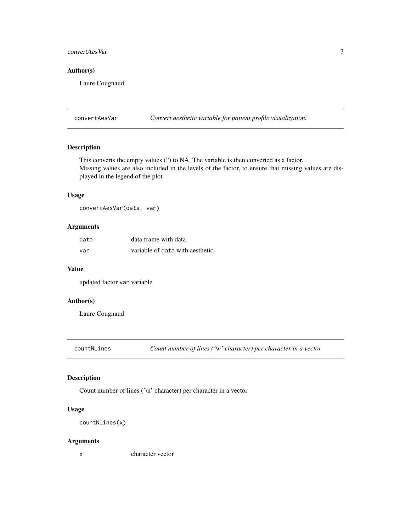## <span id="page-6-0"></span>convertAesVar 7

#### Author(s)

Laure Cougnaud

convertAesVar *Convert aesthetic variable for patient profile visualization.*

## Description

This converts the empty values (") to NA. The variable is then converted as a factor. Missing values are also included in the levels of the factor, to ensure that missing values are displayed in the legend of the plot.

## Usage

convertAesVar(data, var)

## Arguments

| data | data frame with data            |
|------|---------------------------------|
| var  | variable of data with aesthetic |

#### Value

updated factor var variable

#### Author(s)

Laure Cougnaud

countNLines *Count number of lines ('\n' character) per character in a vector*

#### Description

Count number of lines ('\n' character) per character in a vector

## Usage

```
countNLines(x)
```
## Arguments

x character vector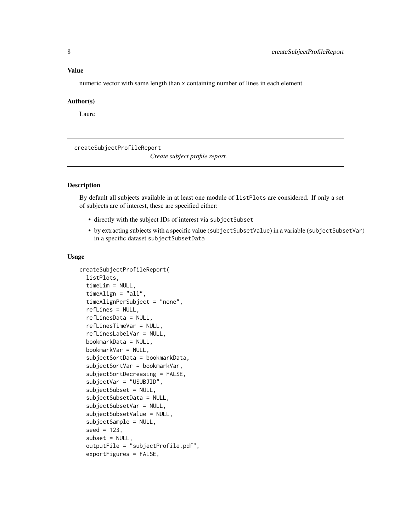<span id="page-7-0"></span>numeric vector with same length than x containing number of lines in each element

#### Author(s)

Laure

createSubjectProfileReport

*Create subject profile report.*

## Description

By default all subjects available in at least one module of listPlots are considered. If only a set of subjects are of interest, these are specified either:

- directly with the subject IDs of interest via subjectSubset
- by extracting subjects with a specific value (subjectSubsetValue) in a variable (subjectSubsetVar) in a specific dataset subjectSubsetData

```
createSubjectProfileReport(
  listPlots,
  timeLim = NULL,
  timeAlign = "all",
  timeAlignPerSubject = "none",
  refLines = NULL,
  refLinesData = NULL,
  refLinesTimeVar = NULL,
  refLinesLabelVar = NULL,
  bookmarkData = NULL,
  bookmarkVar = NULL,
  subjectSortData = bookmarkData,
  subjectSortVar = bookmarkVar,
  subjectSortDecreasing = FALSE,
  subjectVar = "USUBJID",
  subjectSubset = NULL,
  subjectSubsetData = NULL,
  subjectSubsetVar = NULL,
  subjectSubsetValue = NULL,
  subjectSample = NULL,
  seed = 123,
  subset = NULL,outputFile = "subjectProfile.pdf",
  exportFigures = FALSE,
```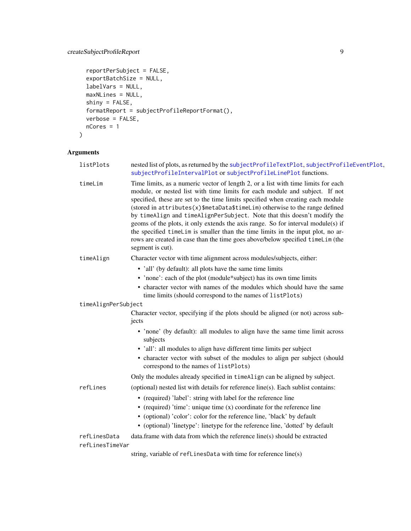## <span id="page-8-0"></span>createSubjectProfileReport 9

```
reportPerSubject = FALSE,
 exportBatchSize = NULL,
 labelVars = NULL,
 maxNLines = NULL,
 shiny = FALSE,
 formatReport = subjectProfileReportFormat(),
 verbose = FALSE,
 nCores = 1
)
```

| listPlots           | nested list of plots, as returned by the subjectProfileTextPlot, subjectProfileEventPlot,<br>subjectProfileIntervalPlot or subjectProfileLinePlot functions.                                                                                                                                                                                                                                                                                                                                                                                                                                                                                                                               |
|---------------------|--------------------------------------------------------------------------------------------------------------------------------------------------------------------------------------------------------------------------------------------------------------------------------------------------------------------------------------------------------------------------------------------------------------------------------------------------------------------------------------------------------------------------------------------------------------------------------------------------------------------------------------------------------------------------------------------|
| timeLim             | Time limits, as a numeric vector of length 2, or a list with time limits for each<br>module, or nested list with time limits for each module and subject. If not<br>specified, these are set to the time limits specified when creating each module<br>(stored in attributes(x)\$metaData\$timeLim) otherwise to the range defined<br>by timeAlign and timeAlignPerSubject. Note that this doesn't modify the<br>geoms of the plots, it only extends the axis range. So for interval module(s) if<br>the specified timeLim is smaller than the time limits in the input plot, no ar-<br>rows are created in case than the time goes above/below specified timeLim (the<br>segment is cut). |
| timeAlign           | Character vector with time alignment across modules/subjects, either:                                                                                                                                                                                                                                                                                                                                                                                                                                                                                                                                                                                                                      |
|                     | • 'all' (by default): all plots have the same time limits                                                                                                                                                                                                                                                                                                                                                                                                                                                                                                                                                                                                                                  |
|                     | • 'none': each of the plot (module*subject) has its own time limits                                                                                                                                                                                                                                                                                                                                                                                                                                                                                                                                                                                                                        |
|                     | • character vector with names of the modules which should have the same<br>time limits (should correspond to the names of listPlots)                                                                                                                                                                                                                                                                                                                                                                                                                                                                                                                                                       |
| timeAlignPerSubject |                                                                                                                                                                                                                                                                                                                                                                                                                                                                                                                                                                                                                                                                                            |
|                     | Character vector, specifying if the plots should be aligned (or not) across sub-<br>jects                                                                                                                                                                                                                                                                                                                                                                                                                                                                                                                                                                                                  |
|                     | • 'none' (by default): all modules to align have the same time limit across<br>subjects                                                                                                                                                                                                                                                                                                                                                                                                                                                                                                                                                                                                    |
|                     | • 'all': all modules to align have different time limits per subject                                                                                                                                                                                                                                                                                                                                                                                                                                                                                                                                                                                                                       |
|                     | • character vector with subset of the modules to align per subject (should<br>correspond to the names of listPlots)                                                                                                                                                                                                                                                                                                                                                                                                                                                                                                                                                                        |
|                     | Only the modules already specified in timeAlign can be aligned by subject.                                                                                                                                                                                                                                                                                                                                                                                                                                                                                                                                                                                                                 |
| refLines            | (optional) nested list with details for reference line(s). Each sublist contains:                                                                                                                                                                                                                                                                                                                                                                                                                                                                                                                                                                                                          |
|                     | • (required) 'label': string with label for the reference line                                                                                                                                                                                                                                                                                                                                                                                                                                                                                                                                                                                                                             |
|                     | • (required) 'time': unique time $(x)$ coordinate for the reference line                                                                                                                                                                                                                                                                                                                                                                                                                                                                                                                                                                                                                   |
|                     | • (optional) 'color': color for the reference line, 'black' by default                                                                                                                                                                                                                                                                                                                                                                                                                                                                                                                                                                                                                     |
|                     | • (optional) 'linetype': linetype for the reference line, 'dotted' by default                                                                                                                                                                                                                                                                                                                                                                                                                                                                                                                                                                                                              |
| refLinesData        | data.frame with data from which the reference line(s) should be extracted                                                                                                                                                                                                                                                                                                                                                                                                                                                                                                                                                                                                                  |
| refLinesTimeVar     |                                                                                                                                                                                                                                                                                                                                                                                                                                                                                                                                                                                                                                                                                            |
|                     | string, variable of refLinesData with time for reference line(s)                                                                                                                                                                                                                                                                                                                                                                                                                                                                                                                                                                                                                           |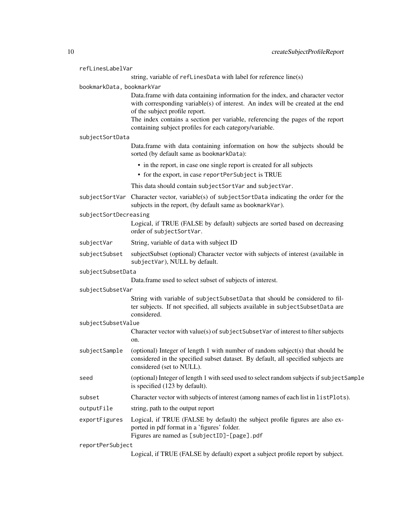| refLinesLabelVar          |                                                                                                                                                                                                                                                                                                                                                   |
|---------------------------|---------------------------------------------------------------------------------------------------------------------------------------------------------------------------------------------------------------------------------------------------------------------------------------------------------------------------------------------------|
|                           | string, variable of refLinesData with label for reference line(s)                                                                                                                                                                                                                                                                                 |
| bookmarkData, bookmarkVar |                                                                                                                                                                                                                                                                                                                                                   |
|                           | Data.frame with data containing information for the index, and character vector<br>with corresponding variable(s) of interest. An index will be created at the end<br>of the subject profile report.<br>The index contains a section per variable, referencing the pages of the report<br>containing subject profiles for each category/variable. |
| subjectSortData           |                                                                                                                                                                                                                                                                                                                                                   |
|                           | Data.frame with data containing information on how the subjects should be<br>sorted (by default same as bookmarkData):                                                                                                                                                                                                                            |
|                           | • in the report, in case one single report is created for all subjects                                                                                                                                                                                                                                                                            |
|                           | • for the export, in case reportPerSubject is TRUE                                                                                                                                                                                                                                                                                                |
|                           | This data should contain subjectSortVar and subjectVar.                                                                                                                                                                                                                                                                                           |
| subjectSortVar            | Character vector, variable(s) of subjectSortData indicating the order for the<br>subjects in the report, (by default same as bookmarkVar).                                                                                                                                                                                                        |
| subjectSortDecreasing     | Logical, if TRUE (FALSE by default) subjects are sorted based on decreasing<br>order of subjectSortVar.                                                                                                                                                                                                                                           |
| subjectVar                |                                                                                                                                                                                                                                                                                                                                                   |
|                           | String, variable of data with subject ID                                                                                                                                                                                                                                                                                                          |
| subjectSubset             | subjectSubset (optional) Character vector with subjects of interest (available in<br>subjectVar), NULL by default.                                                                                                                                                                                                                                |
| subjectSubsetData         |                                                                                                                                                                                                                                                                                                                                                   |
|                           | Data.frame used to select subset of subjects of interest.                                                                                                                                                                                                                                                                                         |
| subjectSubsetVar          | String with variable of subjectSubsetData that should be considered to fil-<br>ter subjects. If not specified, all subjects available in subjectSubsetData are<br>considered.                                                                                                                                                                     |
| subjectSubsetValue        |                                                                                                                                                                                                                                                                                                                                                   |
|                           | Character vector with value(s) of subjectSubsetVar of interest to filter subjects<br>on.                                                                                                                                                                                                                                                          |
| subjectSample             | (optional) Integer of length 1 with number of random subject(s) that should be<br>considered in the specified subset dataset. By default, all specified subjects are<br>considered (set to NULL).                                                                                                                                                 |
| seed                      | (optional) Integer of length 1 with seed used to select random subjects if subjectSample<br>is specified (123 by default).                                                                                                                                                                                                                        |
| subset                    | Character vector with subjects of interest (among names of each list in listPlots).                                                                                                                                                                                                                                                               |
| outputFile                | string, path to the output report                                                                                                                                                                                                                                                                                                                 |
| exportFigures             | Logical, if TRUE (FALSE by default) the subject profile figures are also ex-<br>ported in pdf format in a 'figures' folder.<br>Figures are named as [subjectID]-[page].pdf                                                                                                                                                                        |
| reportPerSubject          |                                                                                                                                                                                                                                                                                                                                                   |

Logical, if TRUE (FALSE by default) export a subject profile report by subject.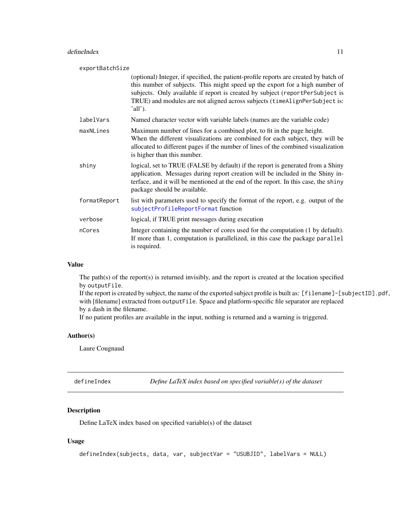<span id="page-10-0"></span>

| exportBatchSize |                                                                                                                                                                                                                                                                                                                                                |  |
|-----------------|------------------------------------------------------------------------------------------------------------------------------------------------------------------------------------------------------------------------------------------------------------------------------------------------------------------------------------------------|--|
|                 | (optional) Integer, if specified, the patient-profile reports are created by batch of<br>this number of subjects. This might speed up the export for a high number of<br>subjects. Only available if report is created by subject (reportPerSubject is<br>TRUE) and modules are not aligned across subjects (timeAlignPerSubject is:<br>'all'. |  |
| labelVars       | Named character vector with variable labels (names are the variable code)                                                                                                                                                                                                                                                                      |  |
| maxNLines       | Maximum number of lines for a combined plot, to fit in the page height.<br>When the different visualizations are combined for each subject, they will be<br>allocated to different pages if the number of lines of the combined visualization<br>is higher than this number.                                                                   |  |
| shiny           | logical, set to TRUE (FALSE by default) if the report is generated from a Shiny<br>application. Messages during report creation will be included in the Shiny in-<br>terface, and it will be mentioned at the end of the report. In this case, the shiny<br>package should be available.                                                       |  |
| formatReport    | list with parameters used to specify the format of the report, e.g. output of the<br>subjectProfileReportFormat function                                                                                                                                                                                                                       |  |
| verbose         | logical, if TRUE print messages during execution                                                                                                                                                                                                                                                                                               |  |
| nCores          | Integer containing the number of cores used for the computation (1 by default).<br>If more than 1, computation is parallelized, in this case the package parallel<br>is required.                                                                                                                                                              |  |

The path(s) of the report(s) is returned invisibly, and the report is created at the location specified by outputFile.

If the report is created by subject, the name of the exported subject profile is built as: [filename]-[subjectID].pdf, with [filename] extracted from outputFile. Space and platform-specific file separator are replaced by a dash in the filename.

If no patient profiles are available in the input, nothing is returned and a warning is triggered.

## Author(s)

Laure Cougnaud

<span id="page-10-1"></span>defineIndex *Define LaTeX index based on specified variable(s) of the dataset*

## Description

Define LaTeX index based on specified variable(s) of the dataset

```
defineIndex(subjects, data, var, subjectVar = "USUBJID", labelVars = NULL)
```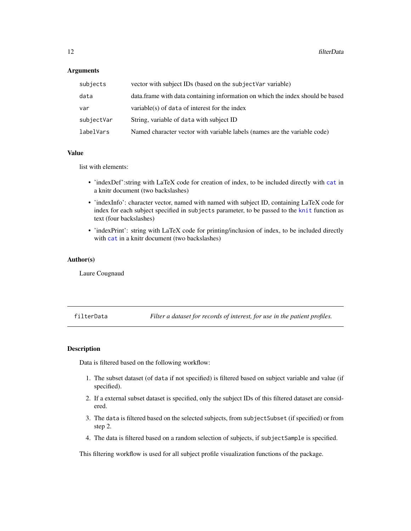#### <span id="page-11-0"></span>**Arguments**

| subjects   | vector with subject IDs (based on the subject Var variable)                    |
|------------|--------------------------------------------------------------------------------|
| data       | data frame with data containing information on which the index should be based |
| var        | variable(s) of data of interest for the index                                  |
| subjectVar | String, variable of data with subject ID                                       |
| labelVars  | Named character vector with variable labels (names are the variable code)      |

#### Value

list with elements:

- 'indexDef': string with LaTeX code for creation of index, to be included directly with [cat](#page-0-0) in a knitr document (two backslashes)
- 'indexInfo': character vector, named with named with subject ID, containing LaTeX code for index for each subject specified in subjects parameter, to be passed to the [knit](#page-0-0) function as text (four backslashes)
- 'indexPrint': string with LaTeX code for printing/inclusion of index, to be included directly with [cat](#page-0-0) in a knitr document (two backslashes)

#### Author(s)

Laure Cougnaud

filterData *Filter a dataset for records of interest, for use in the patient profiles.*

#### Description

Data is filtered based on the following workflow:

- 1. The subset dataset (of data if not specified) is filtered based on subject variable and value (if specified).
- 2. If a external subset dataset is specified, only the subject IDs of this filtered dataset are considered.
- 3. The data is filtered based on the selected subjects, from subjectSubset (if specified) or from step 2.
- 4. The data is filtered based on a random selection of subjects, if subjectSample is specified.

This filtering workflow is used for all subject profile visualization functions of the package.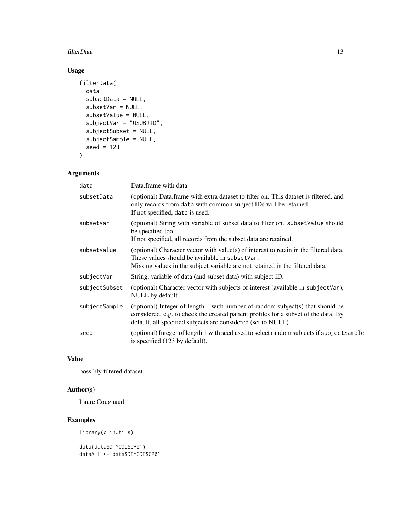#### filterData 13

## Usage

```
filterData(
 data,
  subsetData = NULL,
  subsetVar = NULL,
  subsetValue = NULL,
  subjectVar = "USUBJID",
  subjectSubset = NULL,
  subjectSample = NULL,
 seed = 123
\mathcal{L}
```
## Arguments

| data          | Data.frame with data                                                                                                                                                                                                                   |
|---------------|----------------------------------------------------------------------------------------------------------------------------------------------------------------------------------------------------------------------------------------|
| subsetData    | (optional) Data.frame with extra dataset to filter on. This dataset is filtered, and<br>only records from data with common subject IDs will be retained.<br>If not specified, data is used.                                            |
| subsetVar     | (optional) String with variable of subset data to filter on. subset Value should<br>be specified too.<br>If not specified, all records from the subset data are retained.                                                              |
| subsetValue   | (optional) Character vector with value(s) of interest to retain in the filtered data.<br>These values should be available in subsetVar.<br>Missing values in the subject variable are not retained in the filtered data.               |
| subjectVar    | String, variable of data (and subset data) with subject ID.                                                                                                                                                                            |
| subjectSubset | (optional) Character vector with subjects of interest (available in subjectVar),<br>NULL by default.                                                                                                                                   |
| subjectSample | (optional) Integer of length 1 with number of random subject(s) that should be<br>considered, e.g. to check the created patient profiles for a subset of the data. By<br>default, all specified subjects are considered (set to NULL). |
| seed          | (optional) Integer of length 1 with seed used to select random subjects if subject Sample<br>is specified (123 by default).                                                                                                            |

## Value

possibly filtered dataset

## Author(s)

Laure Cougnaud

## Examples

library(clinUtils)

data(dataSDTMCDISCP01) dataAll <- dataSDTMCDISCP01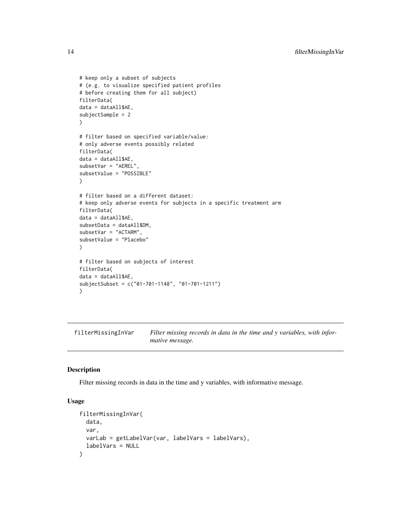```
# keep only a subset of subjects
# (e.g. to visualize specified patient profiles
# before creating them for all subject)
filterData(
data = dataAll$AE,
subjectSample = 2
\mathcal{L}# filter based on specified variable/value:
# only adverse events possibly related
filterData(
data = dataAll$AE,
subsetVar = "AEREL",
subsetValue = "POSSIBLE"
)
# filter based on a different dataset:
# keep only adverse events for subjects in a specific treatment arm
filterData(
data = dataAll$AE,
subsetData = dataAll$DM,
subsetVar = "ACTARM",
subsetValue = "Placebo"
\lambda# filter based on subjects of interest
filterData(
data = dataAll$AE,
subjectSubset = c("01-701-1148", "01-701-1211")
\mathcal{L}
```
filterMissingInVar *Filter missing records in data in the time and y variables, with informative message.*

#### Description

Filter missing records in data in the time and y variables, with informative message.

```
filterMissingInVar(
  data,
  var,
  varLab = getLabelVar(var, labelVars = labelVars),
  labelVars = NULL
)
```
<span id="page-13-0"></span>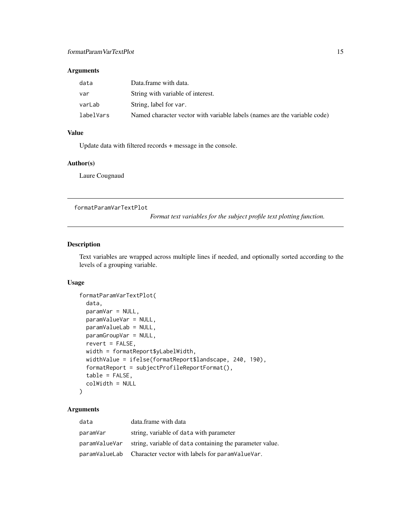#### <span id="page-14-0"></span>Arguments

| data      | Data.frame with data.                                                     |
|-----------|---------------------------------------------------------------------------|
| var       | String with variable of interest.                                         |
| varLab    | String, label for var.                                                    |
| labelVars | Named character vector with variable labels (names are the variable code) |

#### Value

Update data with filtered records + message in the console.

## Author(s)

Laure Cougnaud

formatParamVarTextPlot

*Format text variables for the subject profile text plotting function.*

#### Description

Text variables are wrapped across multiple lines if needed, and optionally sorted according to the levels of a grouping variable.

#### Usage

```
formatParamVarTextPlot(
 data,
 paramVar = NULL,
 paramValueVar = NULL,
 paramValueLab = NULL,
 paramGroupVar = NULL,
 revert = FALSE,width = formatReport$yLabelWidth,
 widthValue = ifelse(formatReport$landscape, 240, 190),
  formatReport = subjectProfileReportFormat(),
  table = FALSE,colWidth = NULL
)
```

| data          | data.frame with data                                          |
|---------------|---------------------------------------------------------------|
| paramVar      | string, variable of data with parameter                       |
| paramValueVar | string, variable of data containing the parameter value.      |
|               | paramValueLab Character vector with labels for paramValueVar. |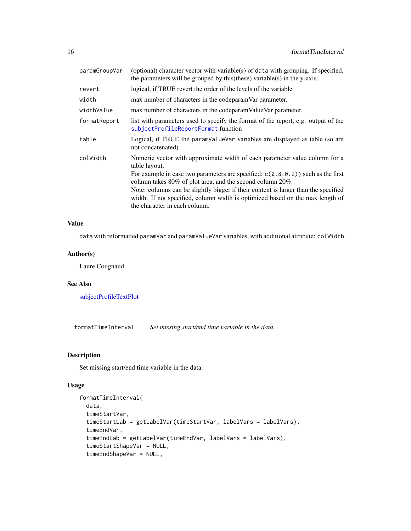<span id="page-15-0"></span>

| paramGroupVar | (optional) character vector with variable(s) of data with grouping. If specified,<br>the parameters will be grouped by this (these) variable (s) in the y-axis.                                                                                                                                                                                                                                                                                       |  |
|---------------|-------------------------------------------------------------------------------------------------------------------------------------------------------------------------------------------------------------------------------------------------------------------------------------------------------------------------------------------------------------------------------------------------------------------------------------------------------|--|
| revert        | logical, if TRUE revert the order of the levels of the variable                                                                                                                                                                                                                                                                                                                                                                                       |  |
| width         | max number of characters in the codeparam Var parameter.                                                                                                                                                                                                                                                                                                                                                                                              |  |
| widthValue    | max number of characters in the codeparam Value Var parameter.                                                                                                                                                                                                                                                                                                                                                                                        |  |
| formatReport  | list with parameters used to specify the format of the report, e.g. output of the<br>subjectProfileReportFormat function                                                                                                                                                                                                                                                                                                                              |  |
| table         | Logical, if TRUE the paramvalue variables are displayed as table (so are<br>not concatenated).                                                                                                                                                                                                                                                                                                                                                        |  |
| colWidth      | Numeric vector with approximate width of each parameter value column for a<br>table layout.<br>For example in case two parameters are specified: $c(0.8, 0.2)$ such as the first<br>column takes 80% of plot area, and the second column 20%.<br>Note: columns can be slightly bigger if their content is larger than the specified<br>width. If not specified, column width is optimized based on the max length of<br>the character in each column. |  |

data with reformatted paramVar and paramValueVar variables, with additional attribute: colWidth.

## Author(s)

Laure Cougnaud

## See Also

[subjectProfileTextPlot](#page-50-1)

formatTimeInterval *Set missing start/end time variable in the data.*

#### Description

Set missing start/end time variable in the data.

```
formatTimeInterval(
  data,
  timeStartVar,
  timeStartLab = getLabelVar(timeStartVar, labelVars = labelVars),
  timeEndVar,
  timeEndLab = getLabelVar(timeEndVar, labelVars = labelVars),
  timeStartShapeVar = NULL,
  timeEndShapeVar = NULL,
```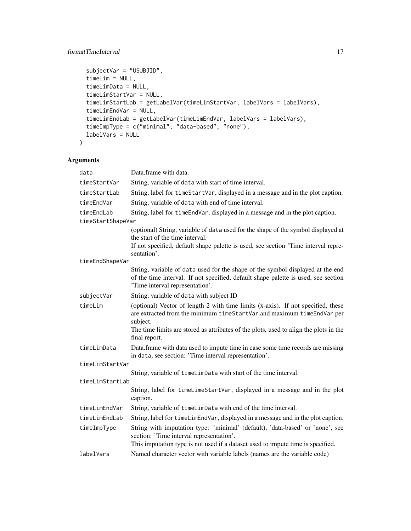## formatTimeInterval 17

```
subjectVar = "USUBJID",
timeLim = NULL,
timeLimData = NULL,
timeLimStartVar = NULL,
timeLimStartLab = getLabelVar(timeLimStartVar, labelVars = labelVars),
timeLimEndVar = NULL,
timeLimEndLab = getLabelVar(timeLimEndVar, labelVars = labelVars),
timeImpType = c("minimal", "data-based", "none"),
labelVars = NULL
```
## Arguments

)

| data              | Data.frame with data.                                                                                                                                                                                        |  |
|-------------------|--------------------------------------------------------------------------------------------------------------------------------------------------------------------------------------------------------------|--|
| timeStartVar      | String, variable of data with start of time interval.                                                                                                                                                        |  |
| timeStartLab      | String, label for timeStartVar, displayed in a message and in the plot caption.                                                                                                                              |  |
| timeEndVar        | String, variable of data with end of time interval.                                                                                                                                                          |  |
| timeEndLab        | String, label for timeEndVar, displayed in a message and in the plot caption.                                                                                                                                |  |
| timeStartShapeVar |                                                                                                                                                                                                              |  |
|                   | (optional) String, variable of data used for the shape of the symbol displayed at<br>the start of the time interval.                                                                                         |  |
|                   | If not specified, default shape palette is used, see section 'Time interval repre-<br>sentation'.                                                                                                            |  |
| timeEndShapeVar   |                                                                                                                                                                                                              |  |
|                   | String, variable of data used for the shape of the symbol displayed at the end<br>of the time interval. If not specified, default shape palette is used, see section<br>'Time interval representation'.      |  |
| subjectVar        | String, variable of data with subject ID                                                                                                                                                                     |  |
| timeLim           | (optional) Vector of length 2 with time limits (x-axis). If not specified, these<br>are extracted from the minimum timeStartVar and maximum timeEndVar per<br>subject.                                       |  |
|                   | The time limits are stored as attributes of the plots, used to align the plots in the<br>final report.                                                                                                       |  |
| timeLimData       | Data.frame with data used to impute time in case some time records are missing<br>in data, see section: 'Time interval representation'.                                                                      |  |
| timeLimStartVar   |                                                                                                                                                                                                              |  |
|                   | String, variable of timeLimData with start of the time interval.                                                                                                                                             |  |
| timeLimStartLab   |                                                                                                                                                                                                              |  |
|                   | String, label for timeLimeStartVar, displayed in a message and in the plot<br>caption.                                                                                                                       |  |
| timeLimEndVar     | String, variable of timeLimData with end of the time interval.                                                                                                                                               |  |
| timeLimEndLab     | String, label for timeLimEndVar, displayed in a message and in the plot caption.                                                                                                                             |  |
| timeImpType       | String with imputation type: 'minimal' (default), 'data-based' or 'none', see<br>section: 'Time interval representation'.<br>This imputation type is not used if a dataset used to impute time is specified. |  |
| labelVars         | Named character vector with variable labels (names are the variable code)                                                                                                                                    |  |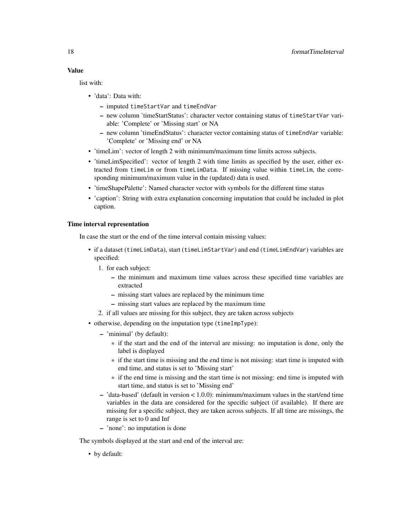list with:

- 'data': Data with:
	- imputed timeStartVar and timeEndVar
	- new column 'timeStartStatus': character vector containing status of timeStartVar variable: 'Complete' or 'Missing start' or NA
	- new column 'timeEndStatus': character vector containing status of timeEndVar variable: 'Complete' or 'Missing end' or NA
- 'timeLim': vector of length 2 with minimum/maximum time limits across subjects.
- 'timeLimSpecified': vector of length 2 with time limits as specified by the user, either extracted from timeLim or from timeLimData. If missing value within timeLim, the corresponding minimum/maximum value in the (updated) data is used.
- 'timeShapePalette': Named character vector with symbols for the different time status
- 'caption': String with extra explanation concerning imputation that could be included in plot caption.

#### Time interval representation

In case the start or the end of the time interval contain missing values:

- if a dataset (timeLimData), start (timeLimStartVar) and end (timeLimEndVar) variables are specified:
	- 1. for each subject:
		- the minimum and maximum time values across these specified time variables are extracted
		- missing start values are replaced by the minimum time
		- missing start values are replaced by the maximum time
	- 2. if all values are missing for this subject, they are taken across subjects
- otherwise, depending on the imputation type (timeImpType):
	- 'minimal' (by default):
		- \* if the start and the end of the interval are missing: no imputation is done, only the label is displayed
		- \* if the start time is missing and the end time is not missing: start time is imputed with end time, and status is set to 'Missing start'
		- \* if the end time is missing and the start time is not missing: end time is imputed with start time, and status is set to 'Missing end'
	- 'data-based' (default in version < 1.0.0): minimum/maximum values in the start/end time variables in the data are considered for the specific subject (if available). If there are missing for a specific subject, they are taken across subjects. If all time are missings, the range is set to 0 and Inf
	- 'none': no imputation is done

The symbols displayed at the start and end of the interval are:

• by default: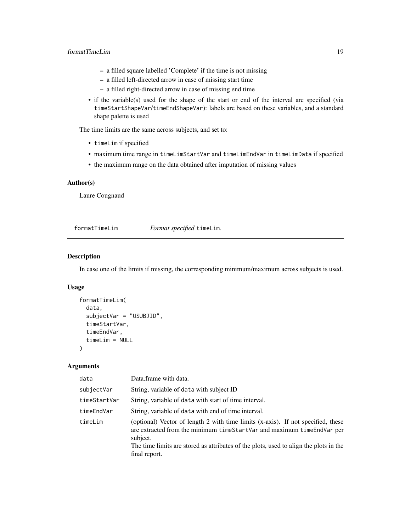#### <span id="page-18-0"></span>formatTimeLim 19

- a filled square labelled 'Complete' if the time is not missing
- a filled left-directed arrow in case of missing start time
- a filled right-directed arrow in case of missing end time
- if the variable(s) used for the shape of the start or end of the interval are specified (via timeStartShapeVar/timeEndShapeVar): labels are based on these variables, and a standard shape palette is used

The time limits are the same across subjects, and set to:

- timeLim if specified
- maximum time range in timeLimStartVar and timeLimEndVar in timeLimData if specified
- the maximum range on the data obtained after imputation of missing values

#### Author(s)

Laure Cougnaud

formatTimeLim *Format specified* timeLim*.*

#### Description

In case one of the limits if missing, the corresponding minimum/maximum across subjects is used.

## Usage

```
formatTimeLim(
  data,
  subjectVar = "USUBJID",
  timeStartVar,
  timeEndVar,
  timeLim = NULL
\lambda
```

| data         | Data.frame with data.                                                                                                                                                                                                                                                            |  |
|--------------|----------------------------------------------------------------------------------------------------------------------------------------------------------------------------------------------------------------------------------------------------------------------------------|--|
| subjectVar   | String, variable of data with subject ID                                                                                                                                                                                                                                         |  |
| timeStartVar | String, variable of data with start of time interval.                                                                                                                                                                                                                            |  |
| timeEndVar   | String, variable of data with end of time interval.                                                                                                                                                                                                                              |  |
| timeLim      | (optional) Vector of length 2 with time limits (x-axis). If not specified, these<br>are extracted from the minimum timeStartVar and maximum timeEndVar per<br>subject.<br>The time limits are stored as attributes of the plots, used to align the plots in the<br>final report. |  |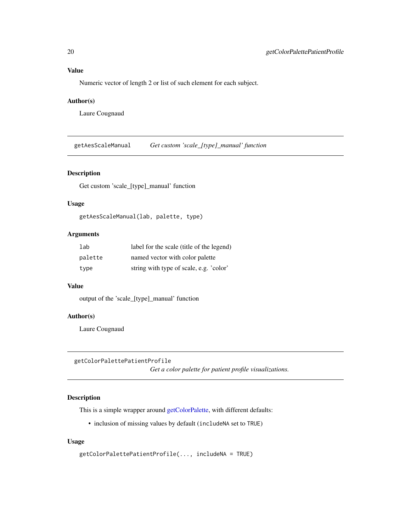<span id="page-19-0"></span>Numeric vector of length 2 or list of such element for each subject.

#### Author(s)

Laure Cougnaud

getAesScaleManual *Get custom 'scale\_[type]\_manual' function*

#### Description

Get custom 'scale\_[type]\_manual' function

#### Usage

```
getAesScaleManual(lab, palette, type)
```
## Arguments

| lab     | label for the scale (title of the legend) |
|---------|-------------------------------------------|
| palette | named vector with color palette           |
| type    | string with type of scale, e.g. 'color'   |

#### Value

output of the 'scale\_[type]\_manual' function

#### Author(s)

Laure Cougnaud

```
getColorPalettePatientProfile
```
*Get a color palette for patient profile visualizations.*

## Description

This is a simple wrapper around [getColorPalette,](#page-0-0) with different defaults:

• inclusion of missing values by default (includeNA set to TRUE)

```
getColorPalettePatientProfile(..., includeNA = TRUE)
```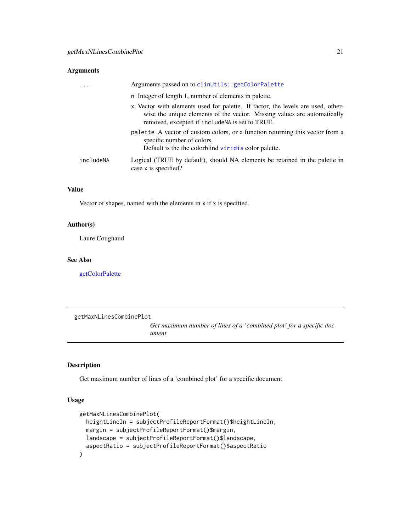#### <span id="page-20-0"></span>Arguments

| $\cdot$ $\cdot$ $\cdot$ | Arguments passed on to clinUtils::getColorPalette                                                                                                                                                              |
|-------------------------|----------------------------------------------------------------------------------------------------------------------------------------------------------------------------------------------------------------|
|                         | n Integer of length 1, number of elements in palette.                                                                                                                                                          |
|                         | x Vector with elements used for palette. If factor, the levels are used, other-<br>wise the unique elements of the vector. Missing values are automatically<br>removed, excepted if include NA is set to TRUE. |
|                         | palette A vector of custom colors, or a function returning this vector from a<br>specific number of colors.<br>Default is the the colorblind virid is color palette.                                           |
| includeNA               | Logical (TRUE by default), should NA elements be retained in the palette in<br>case x is specified?                                                                                                            |

#### Value

Vector of shapes, named with the elements in x if x is specified.

#### Author(s)

Laure Cougnaud

#### See Also

[getColorPalette](#page-0-0)

getMaxNLinesCombinePlot

*Get maximum number of lines of a 'combined plot' for a specific document*

## Description

Get maximum number of lines of a 'combined plot' for a specific document

```
getMaxNLinesCombinePlot(
 heightLineIn = subjectProfileReportFormat()$heightLineIn,
 margin = subjectProfileReportFormat()$margin,
 landscape = subjectProfileReportFormat()$landscape,
  aspectRatio = subjectProfileReportFormat()$aspectRatio
\mathcal{E}
```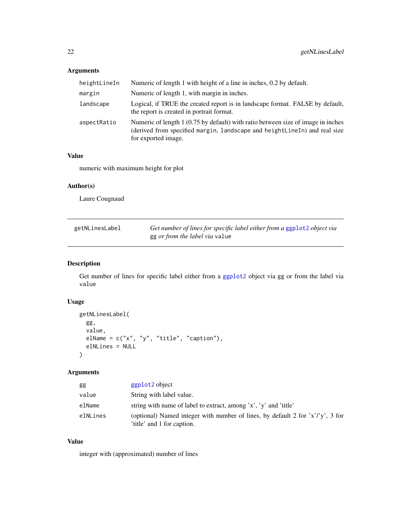## <span id="page-21-0"></span>Arguments

| heightLineIn | Numeric of length 1 with height of a line in inches, 0.2 by default.                                                                                                                 |  |
|--------------|--------------------------------------------------------------------------------------------------------------------------------------------------------------------------------------|--|
| margin       | Numeric of length 1, with margin in inches.                                                                                                                                          |  |
| landscape    | Logical, if TRUE the created report is in landscape format. FALSE by default,<br>the report is created in portrait format.                                                           |  |
| aspectRatio  | Numeric of length 1 (0.75 by default) with ratio between size of image in inches<br>(derived from specified margin, landscape and heightLineIn) and real size<br>for exported image. |  |

#### Value

numeric with maximum height for plot

## Author(s)

Laure Cougnaud

| getNLinesLabel | Get number of lines for specific label either from a ggplot2 object via |
|----------------|-------------------------------------------------------------------------|
|                | gg <i>or from the label via</i> value                                   |

## Description

Get number of lines for specific label either from a [ggplot2](#page-0-0) object via gg or from the label via value

## Usage

```
getNLinesLabel(
  gg,
  value,
  elName = c("x", "y", "title", "caption"),
  elNLines = NULL
\mathcal{L}
```
## Arguments

| gg       | ggplot <sub>2</sub> object                                                                                    |
|----------|---------------------------------------------------------------------------------------------------------------|
| value    | String with label value.                                                                                      |
| elName   | string with name of label to extract, among 'x', 'y' and 'title'                                              |
| elNLines | (optional) Named integer with number of lines, by default 2 for $x'/y'$ , 3 for<br>'title' and 1 for caption. |

## Value

integer with (approximated) number of lines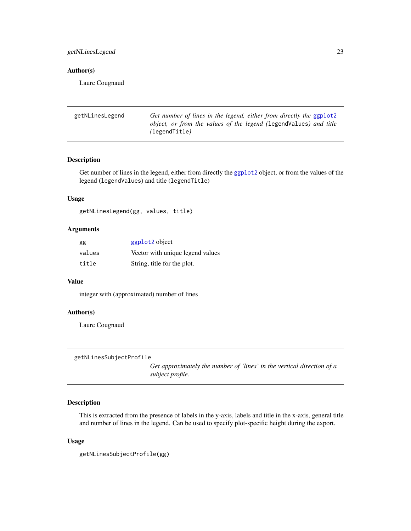## <span id="page-22-0"></span>getNLinesLegend 23

#### Author(s)

Laure Cougnaud

| getNLinesLegend | Get number of lines in the legend, either from directly the ggplot2                |
|-----------------|------------------------------------------------------------------------------------|
|                 | object, or from the values of the legend (legendValues) and title<br>(legendTitle) |
|                 |                                                                                    |

#### Description

Get number of lines in the legend, either from directly the [ggplot2](#page-0-0) object, or from the values of the legend (legendValues) and title (legendTitle)

#### Usage

getNLinesLegend(gg, values, title)

## Arguments

| gg     | ggplot2 object                   |
|--------|----------------------------------|
| values | Vector with unique legend values |
| title  | String, title for the plot.      |

#### Value

integer with (approximated) number of lines

## Author(s)

Laure Cougnaud

```
getNLinesSubjectProfile
```
*Get approximately the number of 'lines' in the vertical direction of a subject profile.*

## Description

This is extracted from the presence of labels in the y-axis, labels and title in the x-axis, general title and number of lines in the legend. Can be used to specify plot-specific height during the export.

#### Usage

getNLinesSubjectProfile(gg)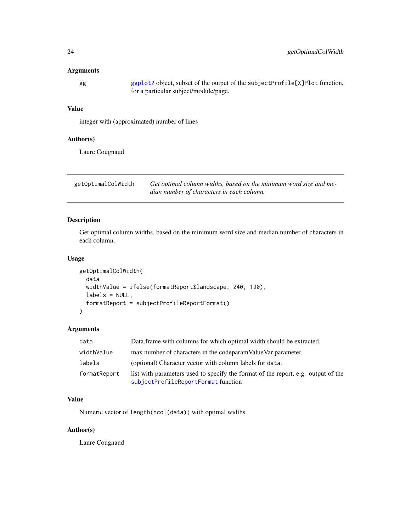#### <span id="page-23-0"></span>Arguments

[ggplot2](#page-0-0) object, subset of the output of the subjectProfile[X]Plot function, for a particular subject/module/page.

## Value

integer with (approximated) number of lines

## Author(s)

Laure Cougnaud

| getOptimalColWidth | Get optimal column widths, based on the minimum word size and me- |
|--------------------|-------------------------------------------------------------------|
|                    | dian number of characters in each column.                         |

## Description

Get optimal column widths, based on the minimum word size and median number of characters in each column.

#### Usage

```
getOptimalColWidth(
  data,
 widthValue = ifelse(formatReport$landscape, 240, 190),
  labels = NULL,
  formatReport = subjectProfileReportFormat()
)
```
#### Arguments

| data         | Data frame with columns for which optimal width should be extracted.                                                     |
|--------------|--------------------------------------------------------------------------------------------------------------------------|
| widthValue   | max number of characters in the codeparam Value Var parameter.                                                           |
| labels       | (optional) Character vector with column labels for data.                                                                 |
| formatReport | list with parameters used to specify the format of the report, e.g. output of the<br>subjectProfileReportFormat function |

## Value

Numeric vector of length(ncol(data)) with optimal widths.

#### Author(s)

Laure Cougnaud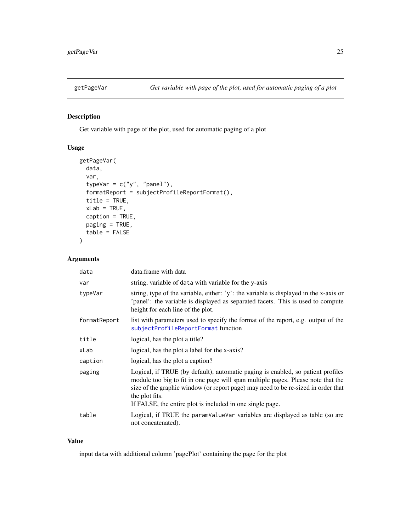<span id="page-24-0"></span>

## Description

Get variable with page of the plot, used for automatic paging of a plot

## Usage

```
getPageVar(
  data,
  var,
  typeVar = c("y", "panel"),formatReport = subjectProfileReportFormat(),
  title = TRUE,
  xLab = TRUE,caption = TRUE,
  paging = TRUE,
  table = FALSE
)
```
## Arguments

| data         | data.frame with data                                                                                                                                                                                                                                                                                                                    |
|--------------|-----------------------------------------------------------------------------------------------------------------------------------------------------------------------------------------------------------------------------------------------------------------------------------------------------------------------------------------|
| var          | string, variable of data with variable for the y-axis                                                                                                                                                                                                                                                                                   |
| typeVar      | string, type of the variable, either: 'y': the variable is displayed in the x-axis or<br>'panel': the variable is displayed as separated facets. This is used to compute<br>height for each line of the plot.                                                                                                                           |
| formatReport | list with parameters used to specify the format of the report, e.g. output of the<br>subjectProfileReportFormat function                                                                                                                                                                                                                |
| title        | logical, has the plot a title?                                                                                                                                                                                                                                                                                                          |
| xLab         | logical, has the plot a label for the x-axis?                                                                                                                                                                                                                                                                                           |
| caption      | logical, has the plot a caption?                                                                                                                                                                                                                                                                                                        |
| paging       | Logical, if TRUE (by default), automatic paging is enabled, so patient profiles<br>module too big to fit in one page will span multiple pages. Please note that the<br>size of the graphic window (or report page) may need to be re-sized in order that<br>the plot fits.<br>If FALSE, the entire plot is included in one single page. |
| table        | Logical, if TRUE the paramvalue variables are displayed as table (so are<br>not concatenated).                                                                                                                                                                                                                                          |

#### Value

input data with additional column 'pagePlot' containing the page for the plot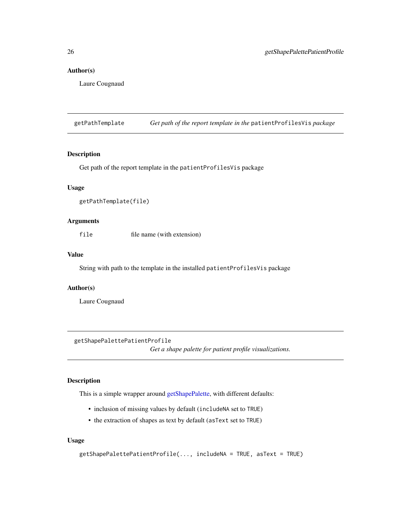#### <span id="page-25-0"></span>Author(s)

Laure Cougnaud

getPathTemplate *Get path of the report template in the* patientProfilesVis *package*

#### Description

Get path of the report template in the patientProfilesVis package

#### Usage

getPathTemplate(file)

#### Arguments

file file name (with extension)

#### Value

String with path to the template in the installed patientProfilesVis package

#### Author(s)

Laure Cougnaud

getShapePalettePatientProfile

*Get a shape palette for patient profile visualizations.*

## Description

This is a simple wrapper around [getShapePalette,](#page-0-0) with different defaults:

- inclusion of missing values by default (includeNA set to TRUE)
- the extraction of shapes as text by default (asText set to TRUE)

```
getShapePalettePatientProfile(..., includeNA = TRUE, asText = TRUE)
```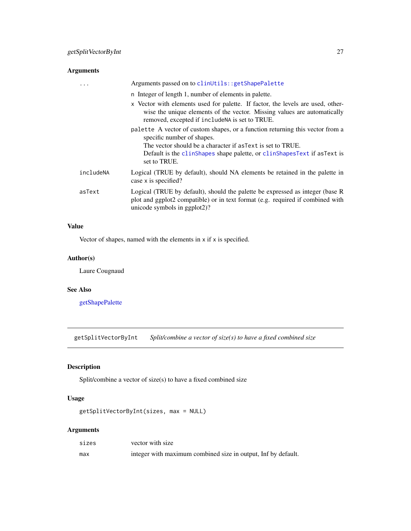## <span id="page-26-0"></span>Arguments

|           | Arguments passed on to clinUtils:: getShapePalette                                                                                                                                                             |
|-----------|----------------------------------------------------------------------------------------------------------------------------------------------------------------------------------------------------------------|
|           | n Integer of length 1, number of elements in palette.                                                                                                                                                          |
|           | x Vector with elements used for palette. If factor, the levels are used, other-<br>wise the unique elements of the vector. Missing values are automatically<br>removed, excepted if include NA is set to TRUE. |
|           | palette A vector of custom shapes, or a function returning this vector from a<br>specific number of shapes.                                                                                                    |
|           | The vector should be a character if as Text is set to TRUE.                                                                                                                                                    |
|           | Default is the clinshapes shape palette, or clinshapes Text if as Text is<br>set to TRUE.                                                                                                                      |
| includeNA | Logical (TRUE by default), should NA elements be retained in the palette in<br>case x is specified?                                                                                                            |
| asText    | Logical (TRUE by default), should the palette be expressed as integer (base R<br>plot and ggplot2 compatible) or in text format (e.g. required if combined with<br>unicode symbols in ggplot2)?                |

## Value

Vector of shapes, named with the elements in  $x$  if  $x$  is specified.

#### Author(s)

Laure Cougnaud

#### See Also

[getShapePalette](#page-0-0)

getSplitVectorByInt *Split/combine a vector of size(s) to have a fixed combined size*

## Description

Split/combine a vector of size(s) to have a fixed combined size

#### Usage

getSplitVectorByInt(sizes, max = NULL)

| sizes | vector with size                                              |
|-------|---------------------------------------------------------------|
| max   | integer with maximum combined size in output, Inf by default. |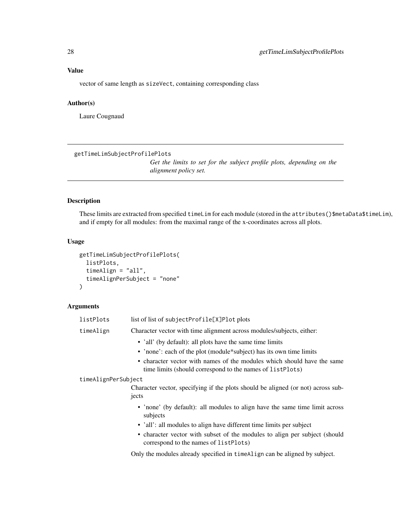<span id="page-27-0"></span>vector of same length as sizeVect, containing corresponding class

## Author(s)

Laure Cougnaud

<span id="page-27-1"></span>getTimeLimSubjectProfilePlots

*Get the limits to set for the subject profile plots, depending on the alignment policy set.*

#### Description

These limits are extracted from specified timeLim for each module (stored in the attributes()\$metaData\$timeLim), and if empty for all modules: from the maximal range of the x-coordinates across all plots.

#### Usage

```
getTimeLimSubjectProfilePlots(
  listPlots,
  timeAlign = "all",
  timeAlignPerSubject = "none"
)
```
#### Arguments

| listPlots           | list of list of subjectProfile[X]Plot plots                                                                                                                                                                                                                                            |
|---------------------|----------------------------------------------------------------------------------------------------------------------------------------------------------------------------------------------------------------------------------------------------------------------------------------|
| timeAlign           | Character vector with time alignment across modules/subjects, either:                                                                                                                                                                                                                  |
|                     | • 'all' (by default): all plots have the same time limits<br>• 'none': each of the plot (module*subject) has its own time limits<br>• character vector with names of the modules which should have the same<br>time limits (should correspond to the names of listPlots)               |
| timeAlignPerSubject | Character vector, specifying if the plots should be aligned (or not) across sub-<br>jects                                                                                                                                                                                              |
|                     | • 'none' (by default): all modules to align have the same time limit across<br>subjects<br>• 'all': all modules to align have different time limits per subject<br>• character vector with subset of the modules to align per subject (should<br>correspond to the names of listPlots) |
|                     |                                                                                                                                                                                                                                                                                        |

Only the modules already specified in timeAlign can be aligned by subject.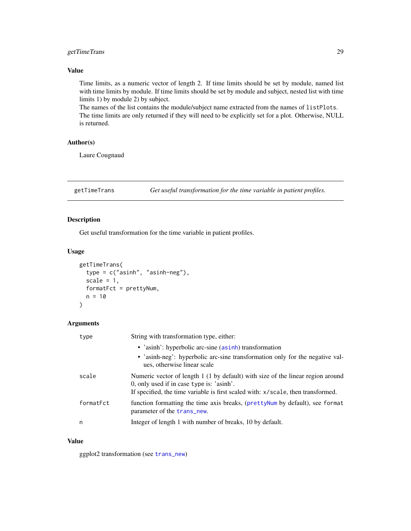## <span id="page-28-0"></span>getTimeTrans 29

## Value

Time limits, as a numeric vector of length 2. If time limits should be set by module, named list with time limits by module. If time limits should be set by module and subject, nested list with time limits 1) by module 2) by subject.

The names of the list contains the module/subject name extracted from the names of listPlots. The time limits are only returned if they will need to be explicitly set for a plot. Otherwise, NULL is returned.

## Author(s)

Laure Cougnaud

<span id="page-28-1"></span>getTimeTrans *Get useful transformation for the time variable in patient profiles.*

## Description

Get useful transformation for the time variable in patient profiles.

#### Usage

```
getTimeTrans(
  type = c("asinh", "asinh-neg"),
  scale = 1,
  formatFct = prettyNum,
  n = 10)
```
#### Arguments

| type      | String with transformation type, either:                                                                                     |
|-----------|------------------------------------------------------------------------------------------------------------------------------|
|           | • 'asinh': hyperbolic arc-sine (asinh) transformation                                                                        |
|           | • 'asinh-neg': hyperbolic arc-sine transformation only for the negative val-<br>ues, otherwise linear scale                  |
| scale     | Numeric vector of length 1 (1 by default) with size of the linear region around<br>0, only used if in case type is: 'asinh'. |
|           | If specified, the time variable is first scaled with: x/scale, then transformed.                                             |
| formatFct | function formatting the time axis breaks, (prettyNum by default), see format<br>parameter of the trans new.                  |
| n         | Integer of length 1 with number of breaks, 10 by default.                                                                    |

#### Value

ggplot2 transformation (see [trans\\_new](#page-0-0))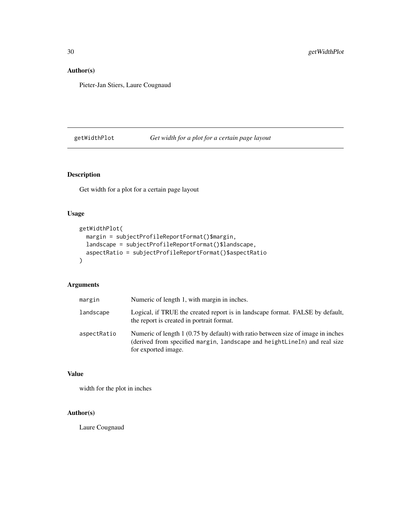## <span id="page-29-0"></span>Author(s)

Pieter-Jan Stiers, Laure Cougnaud

## getWidthPlot *Get width for a plot for a certain page layout*

## Description

Get width for a plot for a certain page layout

## Usage

```
getWidthPlot(
 margin = subjectProfileReportFormat()$margin,
 landscape = subjectProfileReportFormat()$landscape,
 aspectRatio = subjectProfileReportFormat()$aspectRatio
)
```
## Arguments

| margin      | Numeric of length 1, with margin in inches.                                                                                                                                          |
|-------------|--------------------------------------------------------------------------------------------------------------------------------------------------------------------------------------|
| landscape   | Logical, if TRUE the created report is in landscape format. FALSE by default,<br>the report is created in portrait format.                                                           |
| aspectRatio | Numeric of length 1 (0.75 by default) with ratio between size of image in inches<br>(derived from specified margin, landscape and heightLineIn) and real size<br>for exported image. |

#### Value

width for the plot in inches

## Author(s)

Laure Cougnaud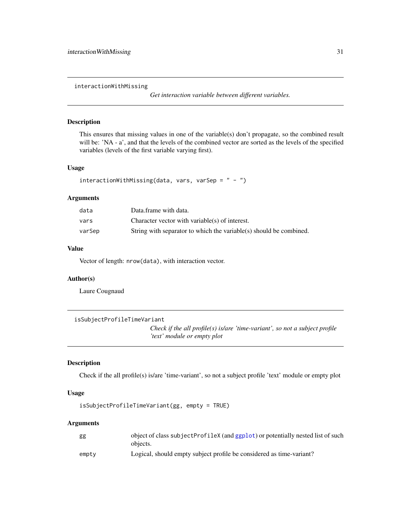<span id="page-30-0"></span>interactionWithMissing

*Get interaction variable between different variables.*

## Description

This ensures that missing values in one of the variable(s) don't propagate, so the combined result will be: 'NA - a', and that the levels of the combined vector are sorted as the levels of the specified variables (levels of the first variable varying first).

#### Usage

```
interactionWithMissing(data, vars, varSep = " - ")
```
#### Arguments

| data   | Data.frame with data.                                              |
|--------|--------------------------------------------------------------------|
| vars   | Character vector with variable(s) of interest.                     |
| varSep | String with separator to which the variable(s) should be combined. |

#### Value

Vector of length: nrow(data), with interaction vector.

## Author(s)

Laure Cougnaud

```
isSubjectProfileTimeVariant
```
*Check if the all profile(s) is/are 'time-variant', so not a subject profile 'text' module or empty plot*

#### Description

Check if the all profile(s) is/are 'time-variant', so not a subject profile 'text' module or empty plot

#### Usage

```
isSubjectProfileTimeVariant(gg, empty = TRUE)
```

| gg    | object of class subjectProfileX (and ggplot) or potentially nested list of such<br>objects. |
|-------|---------------------------------------------------------------------------------------------|
| empty | Logical, should empty subject profile be considered as time-variant?                        |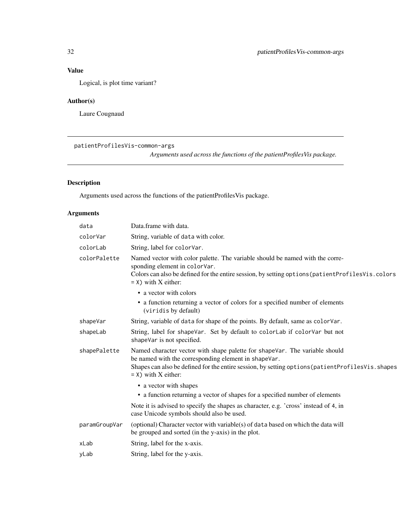<span id="page-31-0"></span>Logical, is plot time variant?

## Author(s)

Laure Cougnaud

```
patientProfilesVis-common-args
```
*Arguments used across the functions of the patientProfilesVis package.*

## Description

Arguments used across the functions of the patientProfilesVis package.

| data          | Data.frame with data.                                                                                                                                                                                                                                            |
|---------------|------------------------------------------------------------------------------------------------------------------------------------------------------------------------------------------------------------------------------------------------------------------|
| colorVar      | String, variable of data with color.                                                                                                                                                                                                                             |
| colorLab      | String, label for colorVar.                                                                                                                                                                                                                                      |
| colorPalette  | Named vector with color palette. The variable should be named with the corre-<br>sponding element in colorVar.<br>Colors can also be defined for the entire session, by setting options (patient Profiles Vis. colors<br>$=$ X) with X either:                   |
|               | • a vector with colors                                                                                                                                                                                                                                           |
|               | • a function returning a vector of colors for a specified number of elements<br>(viridis by default)                                                                                                                                                             |
| shapeVar      | String, variable of data for shape of the points. By default, same as colorVar.                                                                                                                                                                                  |
| shapeLab      | String, label for shapeVar. Set by default to colorLab if colorVar but not<br>shapeVar is not specified.                                                                                                                                                         |
| shapePalette  | Named character vector with shape palette for shapeVar. The variable should<br>be named with the corresponding element in shapeVar.<br>Shapes can also be defined for the entire session, by setting options (patientProfilesVis.shapes<br>$=$ X) with X either: |
|               | • a vector with shapes                                                                                                                                                                                                                                           |
|               | • a function returning a vector of shapes for a specified number of elements                                                                                                                                                                                     |
|               | Note it is advised to specify the shapes as character, e.g. 'cross' instead of 4, in<br>case Unicode symbols should also be used.                                                                                                                                |
| paramGroupVar | (optional) Character vector with variable(s) of data based on which the data will<br>be grouped and sorted (in the y-axis) in the plot.                                                                                                                          |
| xLab          | String, label for the x-axis.                                                                                                                                                                                                                                    |
| yLab          | String, label for the y-axis.                                                                                                                                                                                                                                    |
|               |                                                                                                                                                                                                                                                                  |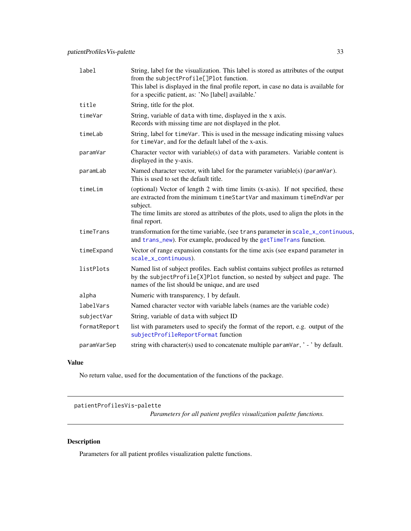<span id="page-32-0"></span>

| label        | String, label for the visualization. This label is stored as attributes of the output<br>from the subjectProfile[]Plot function.<br>This label is displayed in the final profile report, in case no data is available for<br>for a specific patient, as: 'No [label] available.' |
|--------------|----------------------------------------------------------------------------------------------------------------------------------------------------------------------------------------------------------------------------------------------------------------------------------|
| title        | String, title for the plot.                                                                                                                                                                                                                                                      |
| timeVar      | String, variable of data with time, displayed in the x axis.<br>Records with missing time are not displayed in the plot.                                                                                                                                                         |
| timeLab      | String, label for time Var. This is used in the message indicating missing values<br>for timeVar, and for the default label of the x-axis.                                                                                                                                       |
| paramVar     | Character vector with variable(s) of data with parameters. Variable content is<br>displayed in the y-axis.                                                                                                                                                                       |
| paramLab     | Named character vector, with label for the parameter variable(s) (paramVar).<br>This is used to set the default title.                                                                                                                                                           |
| timeLim      | (optional) Vector of length 2 with time limits (x-axis). If not specified, these<br>are extracted from the minimum timeStartVar and maximum timeEndVar per<br>subject.<br>The time limits are stored as attributes of the plots, used to align the plots in the<br>final report. |
| timeTrans    | transformation for the time variable, (see trans parameter in scale_x_continuous,<br>and trans_new). For example, produced by the getTimeTrans function.                                                                                                                         |
| timeExpand   | Vector of range expansion constants for the time axis (see expand parameter in<br>scale_x_continuous).                                                                                                                                                                           |
| listPlots    | Named list of subject profiles. Each sublist contains subject profiles as returned<br>by the subjectProfile[X]Plot function, so nested by subject and page. The<br>names of the list should be unique, and are used                                                              |
| alpha        | Numeric with transparency, 1 by default.                                                                                                                                                                                                                                         |
| labelVars    | Named character vector with variable labels (names are the variable code)                                                                                                                                                                                                        |
| subjectVar   | String, variable of data with subject ID                                                                                                                                                                                                                                         |
| formatReport | list with parameters used to specify the format of the report, e.g. output of the<br>subjectProfileReportFormat function                                                                                                                                                         |
| paramVarSep  | string with character(s) used to concatenate multiple paramVar, '-' by default.                                                                                                                                                                                                  |

No return value, used for the documentation of the functions of the package.

patientProfilesVis-palette

*Parameters for all patient profiles visualization palette functions.*

## Description

Parameters for all patient profiles visualization palette functions.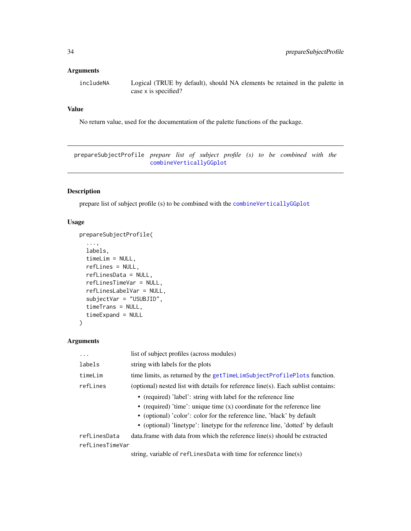#### <span id="page-33-0"></span>Arguments

includeNA Logical (TRUE by default), should NA elements be retained in the palette in case x is specified?

#### Value

No return value, used for the documentation of the palette functions of the package.

prepareSubjectProfile *prepare list of subject profile (s) to be combined with the* [combineVerticallyGGplot](#page-5-1)

## Description

prepare list of subject profile (s) to be combined with the [combineVerticallyGGplot](#page-5-1)

## Usage

```
prepareSubjectProfile(
  ...,
 labels,
 timeLim = NULL,
 refLines = NULL,
 refLinesData = NULL,
  refLinesTimeVar = NULL,
  refLinesLabelVar = NULL,
  subjectVar = "USUBJID",
  timeTrans = NULL,
  timeExpand = NULL
)
```
#### Arguments

| .               | list of subject profiles (across modules)                                         |
|-----------------|-----------------------------------------------------------------------------------|
| labels          | string with labels for the plots                                                  |
| timeLim         | time limits, as returned by the getTimeLimSubjectProfilePlots function.           |
| refLines        | (optional) nested list with details for reference line(s). Each sublist contains: |
|                 | • (required) 'label': string with label for the reference line                    |
|                 | • (required) 'time': unique time $(x)$ coordinate for the reference line          |
|                 | • (optional) 'color': color for the reference line, 'black' by default            |
|                 | • (optional) linetype': linetype for the reference line, 'dotted' by default      |
| refLinesData    | data. frame with data from which the reference line(s) should be extracted        |
| refLinesTimeVar |                                                                                   |
|                 | string variable of refl inespate with time for reference $line(s)$                |

string, variable of refLinesData with time for reference line(s)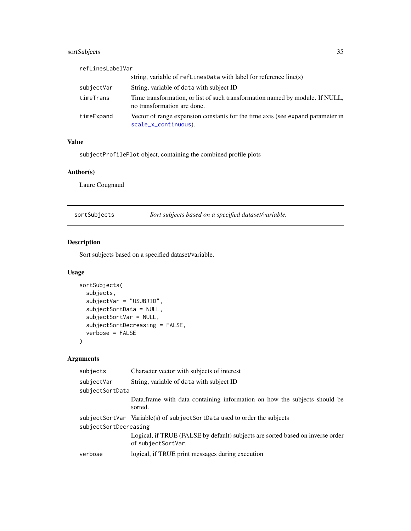## <span id="page-34-0"></span>sortSubjects 35

| refLinesLabelVar |                                                                                                              |
|------------------|--------------------------------------------------------------------------------------------------------------|
|                  | string, variable of $refLinesData$ with label for reference line(s)                                          |
| subjectVar       | String, variable of data with subject ID                                                                     |
| timeTrans        | Time transformation, or list of such transformation named by module. If NULL,<br>no transformation are done. |
| timeExpand       | Vector of range expansion constants for the time axis (see expand parameter in<br>scale_x_continuous).       |

#### Value

subjectProfilePlot object, containing the combined profile plots

## Author(s)

Laure Cougnaud

| sortSubjects | Sort subjects based on a specified dataset/variable. |
|--------------|------------------------------------------------------|
|              |                                                      |

## Description

Sort subjects based on a specified dataset/variable.

## Usage

```
sortSubjects(
  subjects,
  subjectVar = "USUBJID",
  subjectSortData = NULL,
  subjectSortVar = NULL,
  subjectSortDecreasing = FALSE,
  verbose = FALSE
)
```

| subjects              | Character vector with subjects of interest                                                           |
|-----------------------|------------------------------------------------------------------------------------------------------|
| subjectVar            | String, variable of data with subject ID                                                             |
| subjectSortData       |                                                                                                      |
|                       | Data frame with data containing information on how the subjects should be<br>sorted.                 |
|                       | subjectSortVar Variable(s) of subjectSortData used to order the subjects                             |
| subjectSortDecreasing |                                                                                                      |
|                       | Logical, if TRUE (FALSE by default) subjects are sorted based on inverse order<br>of subjectSortVar. |
| verbose               | logical, if TRUE print messages during execution                                                     |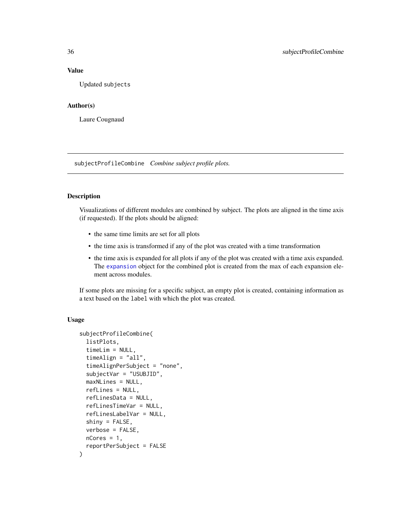Updated subjects

#### Author(s)

Laure Cougnaud

<span id="page-35-1"></span>subjectProfileCombine *Combine subject profile plots.*

#### Description

Visualizations of different modules are combined by subject. The plots are aligned in the time axis (if requested). If the plots should be aligned:

- the same time limits are set for all plots
- the time axis is transformed if any of the plot was created with a time transformation
- the time axis is expanded for all plots if any of the plot was created with a time axis expanded. The [expansion](#page-0-0) object for the combined plot is created from the max of each expansion element across modules.

If some plots are missing for a specific subject, an empty plot is created, containing information as a text based on the label with which the plot was created.

```
subjectProfileCombine(
  listPlots,
  timeLim = NULL,
  timeAlign = "all",
  timeAlignPerSubject = "none",
  subjectVar = "USUBJID",
 maxNLines = NULL,
  refLines = NULL,
  refLinesData = NULL,
  refLinesTimeVar = NULL,
  refLinesLabelVar = NULL,
  shiny = FALSE,
  verbose = FALSE,
 nCores = 1,
  reportPerSubject = FALSE
)
```
<span id="page-35-0"></span>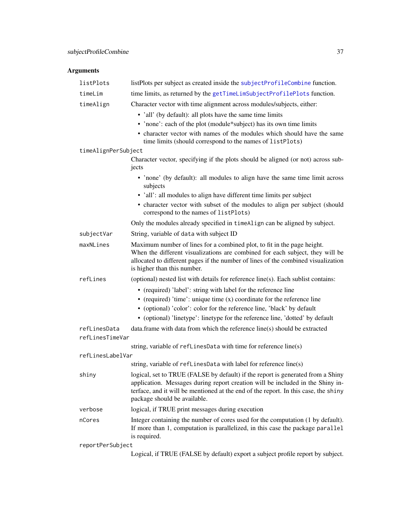<span id="page-36-0"></span>

| listPlots           | listPlots per subject as created inside the subjectProfileCombine function.                                                                                                                                                                                                              |
|---------------------|------------------------------------------------------------------------------------------------------------------------------------------------------------------------------------------------------------------------------------------------------------------------------------------|
| timeLim             | time limits, as returned by the getTimeLimSubjectProfilePlots function.                                                                                                                                                                                                                  |
| timeAlign           | Character vector with time alignment across modules/subjects, either:                                                                                                                                                                                                                    |
|                     | • 'all' (by default): all plots have the same time limits                                                                                                                                                                                                                                |
|                     | • 'none': each of the plot (module*subject) has its own time limits                                                                                                                                                                                                                      |
|                     | • character vector with names of the modules which should have the same<br>time limits (should correspond to the names of listPlots)                                                                                                                                                     |
| timeAlignPerSubject |                                                                                                                                                                                                                                                                                          |
|                     | Character vector, specifying if the plots should be aligned (or not) across sub-<br>jects                                                                                                                                                                                                |
|                     | • 'none' (by default): all modules to align have the same time limit across<br>subjects                                                                                                                                                                                                  |
|                     | • 'all': all modules to align have different time limits per subject                                                                                                                                                                                                                     |
|                     | • character vector with subset of the modules to align per subject (should<br>correspond to the names of listPlots)                                                                                                                                                                      |
|                     | Only the modules already specified in timeAlign can be aligned by subject.                                                                                                                                                                                                               |
| subjectVar          | String, variable of data with subject ID                                                                                                                                                                                                                                                 |
| maxNLines           | Maximum number of lines for a combined plot, to fit in the page height.<br>When the different visualizations are combined for each subject, they will be<br>allocated to different pages if the number of lines of the combined visualization<br>is higher than this number.             |
| refLines            | (optional) nested list with details for reference line(s). Each sublist contains:                                                                                                                                                                                                        |
|                     | • (required) 'label': string with label for the reference line                                                                                                                                                                                                                           |
|                     | • (required) 'time': unique time $(x)$ coordinate for the reference line<br>• (optional) 'color': color for the reference line, 'black' by default                                                                                                                                       |
|                     | • (optional) 'linetype': linetype for the reference line, 'dotted' by default                                                                                                                                                                                                            |
| refLinesData        | data.frame with data from which the reference line(s) should be extracted                                                                                                                                                                                                                |
| refLinesTimeVar     |                                                                                                                                                                                                                                                                                          |
|                     | string, variable of refLinesData with time for reference line(s)                                                                                                                                                                                                                         |
| refLinesLabelVar    |                                                                                                                                                                                                                                                                                          |
|                     | string, variable of refLinesData with label for reference line(s)                                                                                                                                                                                                                        |
| shiny               | logical, set to TRUE (FALSE by default) if the report is generated from a Shiny<br>application. Messages during report creation will be included in the Shiny in-<br>terface, and it will be mentioned at the end of the report. In this case, the shiny<br>package should be available. |
| verbose             | logical, if TRUE print messages during execution                                                                                                                                                                                                                                         |
| nCores              | Integer containing the number of cores used for the computation (1 by default).<br>If more than 1, computation is parallelized, in this case the package parallel<br>is required.                                                                                                        |
| reportPerSubject    |                                                                                                                                                                                                                                                                                          |
|                     | Logical, if TRUE (FALSE by default) export a subject profile report by subject.                                                                                                                                                                                                          |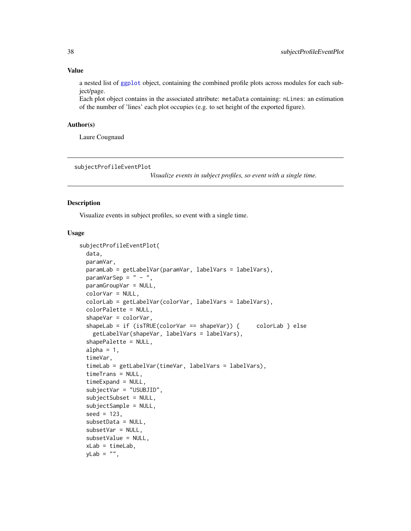a nested list of [ggplot](#page-0-0) object, containing the combined profile plots across modules for each subject/page.

Each plot object contains in the associated attribute: metaData containing: nLines: an estimation of the number of 'lines' each plot occupies (e.g. to set height of the exported figure).

#### Author(s)

Laure Cougnaud

<span id="page-37-1"></span>subjectProfileEventPlot

*Visualize events in subject profiles, so event with a single time.*

#### Description

Visualize events in subject profiles, so event with a single time.

```
subjectProfileEventPlot(
  data,
  paramVar,
  paramLab = getLabelVar(paramVar, labelVars = labelVars),
  paramVarSep = " - "paramGroupVar = NULL,
  colorVar = NULL,
  colorLab = getLabelVar(colorVar, labelVars = labelVars),
  colorPalette = NULL,
  shapeVar = colorVar,
  shapeLab = if (isTRUE(colorVar == shapeVar)) { colorLab } else
    getLabelVar(shapeVar, labelVars = labelVars),
  shapePalette = NULL,
  alpha = 1,
  timeVar,
  timeLab = getLabelVar(timeVar, labelVars = labelVars),
  timeTrans = NULL,
  timeExpand = NULL,
  subjectVar = "USUBJID",
  subjectSubset = NULL,
  subjectSample = NULL,
  seed = 123,
  subsetData = NULL,
  subsetVar = NULL,
  subsetValue = NULL,
  xLab = timeLab,yLab = "",
```
<span id="page-37-0"></span>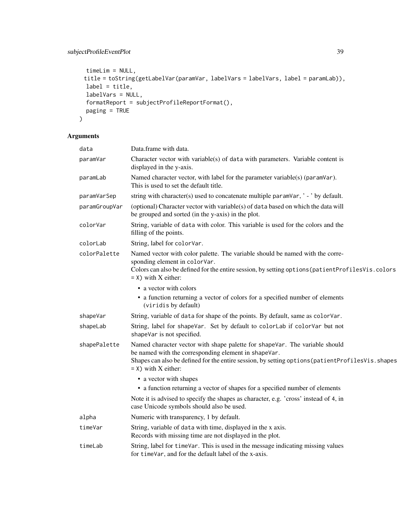## subjectProfileEventPlot 39

```
timeLim = NULL,
 title = toString(getLabelVar(paramVar, labelVars = labelVars, label = paramLab)),
 label = title,
 labelVars = NULL,
 formatReport = subjectProfileReportFormat(),
 paging = TRUE
\mathcal{L}
```

| data          | Data.frame with data.                                                                                                                                                                                                                                              |
|---------------|--------------------------------------------------------------------------------------------------------------------------------------------------------------------------------------------------------------------------------------------------------------------|
| paramVar      | Character vector with variable(s) of data with parameters. Variable content is<br>displayed in the y-axis.                                                                                                                                                         |
| paramLab      | Named character vector, with label for the parameter variable(s) (paramVar).<br>This is used to set the default title.                                                                                                                                             |
| paramVarSep   | string with character(s) used to concatenate multiple param $\text{Var}, \cdot \cdot$ by default.                                                                                                                                                                  |
| paramGroupVar | (optional) Character vector with variable(s) of data based on which the data will<br>be grouped and sorted (in the y-axis) in the plot.                                                                                                                            |
| colorVar      | String, variable of data with color. This variable is used for the colors and the<br>filling of the points.                                                                                                                                                        |
| colorLab      | String, label for colorVar.                                                                                                                                                                                                                                        |
| colorPalette  | Named vector with color palette. The variable should be named with the corre-<br>sponding element in colorVar.<br>Colors can also be defined for the entire session, by setting options (patient ProfilesVis.colors<br>$=$ X) with X either:                       |
|               | • a vector with colors<br>• a function returning a vector of colors for a specified number of elements<br>(viridis by default)                                                                                                                                     |
| shapeVar      | String, variable of data for shape of the points. By default, same as colorVar.                                                                                                                                                                                    |
| shapeLab      | String, label for shapeVar. Set by default to colorLab if colorVar but not<br>shapeVar is not specified.                                                                                                                                                           |
| shapePalette  | Named character vector with shape palette for shapeVar. The variable should<br>be named with the corresponding element in shapeVar.<br>Shapes can also be defined for the entire session, by setting options (patient ProfilesVis. shapes<br>$=$ X) with X either: |
|               | • a vector with shapes                                                                                                                                                                                                                                             |
|               | • a function returning a vector of shapes for a specified number of elements                                                                                                                                                                                       |
|               | Note it is advised to specify the shapes as character, e.g. 'cross' instead of 4, in<br>case Unicode symbols should also be used.                                                                                                                                  |
| alpha         | Numeric with transparency, 1 by default.                                                                                                                                                                                                                           |
| timeVar       | String, variable of data with time, displayed in the x axis.<br>Records with missing time are not displayed in the plot.                                                                                                                                           |
| timeLab       | String, label for timeVar. This is used in the message indicating missing values<br>for timeVar, and for the default label of the x-axis.                                                                                                                          |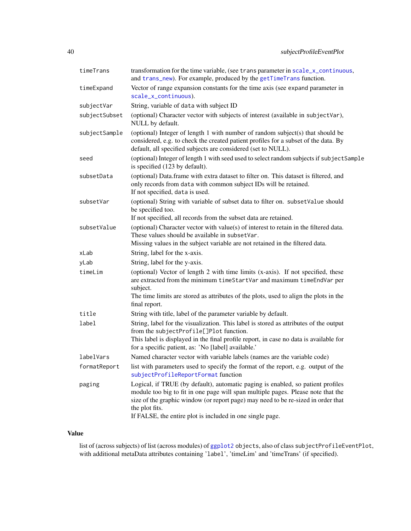<span id="page-39-0"></span>

| timeTrans     | transformation for the time variable, (see trans parameter in scale_x_continuous,<br>and trans_new). For example, produced by the getTimeTrans function.                                                                                                                                                                                |
|---------------|-----------------------------------------------------------------------------------------------------------------------------------------------------------------------------------------------------------------------------------------------------------------------------------------------------------------------------------------|
| timeExpand    | Vector of range expansion constants for the time axis (see expand parameter in                                                                                                                                                                                                                                                          |
|               | scale_x_continuous).                                                                                                                                                                                                                                                                                                                    |
| subjectVar    | String, variable of data with subject ID                                                                                                                                                                                                                                                                                                |
| subjectSubset | (optional) Character vector with subjects of interest (available in subjectVar),<br>NULL by default.                                                                                                                                                                                                                                    |
| subjectSample | (optional) Integer of length 1 with number of random subject(s) that should be<br>considered, e.g. to check the created patient profiles for a subset of the data. By<br>default, all specified subjects are considered (set to NULL).                                                                                                  |
| seed          | (optional) Integer of length 1 with seed used to select random subjects if subjectSample<br>is specified (123 by default).                                                                                                                                                                                                              |
| subsetData    | (optional) Data.frame with extra dataset to filter on. This dataset is filtered, and<br>only records from data with common subject IDs will be retained.<br>If not specified, data is used.                                                                                                                                             |
| subsetVar     | (optional) String with variable of subset data to filter on. subsetValue should<br>be specified too.<br>If not specified, all records from the subset data are retained.                                                                                                                                                                |
| subsetValue   | (optional) Character vector with value(s) of interest to retain in the filtered data.<br>These values should be available in subsetVar.<br>Missing values in the subject variable are not retained in the filtered data.                                                                                                                |
| xLab          | String, label for the x-axis.                                                                                                                                                                                                                                                                                                           |
| yLab          | String, label for the y-axis.                                                                                                                                                                                                                                                                                                           |
| timeLim       | (optional) Vector of length 2 with time limits (x-axis). If not specified, these<br>are extracted from the minimum timeStartVar and maximum timeEndVar per<br>subject.<br>The time limits are stored as attributes of the plots, used to align the plots in the<br>final report.                                                        |
| title         | String with title, label of the parameter variable by default.                                                                                                                                                                                                                                                                          |
| label         | String, label for the visualization. This label is stored as attributes of the output<br>from the subjectProfile[]Plot function.<br>This label is displayed in the final profile report, in case no data is available for<br>for a specific patient, as: 'No [label] available.'                                                        |
| labelVars     | Named character vector with variable labels (names are the variable code)                                                                                                                                                                                                                                                               |
| formatReport  | list with parameters used to specify the format of the report, e.g. output of the<br>subjectProfileReportFormat function                                                                                                                                                                                                                |
| paging        | Logical, if TRUE (by default), automatic paging is enabled, so patient profiles<br>module too big to fit in one page will span multiple pages. Please note that the<br>size of the graphic window (or report page) may need to be re-sized in order that<br>the plot fits.<br>If FALSE, the entire plot is included in one single page. |

list of (across subjects) of list (across modules) of [ggplot2](#page-0-0) objects, also of class subjectProfileEventPlot, with additional metaData attributes containing 'label', 'timeLim' and 'timeTrans' (if specified).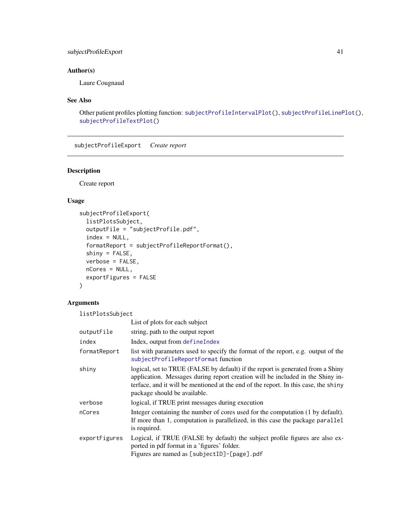## <span id="page-40-0"></span>subjectProfileExport 41

## Author(s)

Laure Cougnaud

## See Also

Other patient profiles plotting function: [subjectProfileIntervalPlot\(](#page-41-1)), [subjectProfileLinePlot\(](#page-45-1)), [subjectProfileTextPlot\(](#page-50-1))

subjectProfileExport *Create report*

## Description

Create report

#### Usage

```
subjectProfileExport(
 listPlotsSubject,
 outputFile = "subjectProfile.pdf",
  index = NULL,formatReport = subjectProfileReportFormat(),
 shiny = FALSE,
 verbose = FALSE,
 nCores = NULL,
 exportFigures = FALSE
\mathcal{L}
```
#### Arguments

listPlotsSubject

|               | List of plots for each subject                                                                                                                                                                                                                                                           |
|---------------|------------------------------------------------------------------------------------------------------------------------------------------------------------------------------------------------------------------------------------------------------------------------------------------|
| outputFile    | string, path to the output report                                                                                                                                                                                                                                                        |
| index         | Index, output from defineIndex                                                                                                                                                                                                                                                           |
| formatReport  | list with parameters used to specify the format of the report, e.g. output of the<br>subjectProfileReportFormat function                                                                                                                                                                 |
| shiny         | logical, set to TRUE (FALSE by default) if the report is generated from a Shiny<br>application. Messages during report creation will be included in the Shiny in-<br>terface, and it will be mentioned at the end of the report. In this case, the shiny<br>package should be available. |
| verbose       | logical, if TRUE print messages during execution                                                                                                                                                                                                                                         |
| nCores        | Integer containing the number of cores used for the computation (1 by default).<br>If more than 1, computation is parallelized, in this case the package parallel<br>is required.                                                                                                        |
| exportFigures | Logical, if TRUE (FALSE by default) the subject profile figures are also ex-<br>ported in pdf format in a 'figures' folder.<br>Figures are named as [subjectID]-[page].pdf                                                                                                               |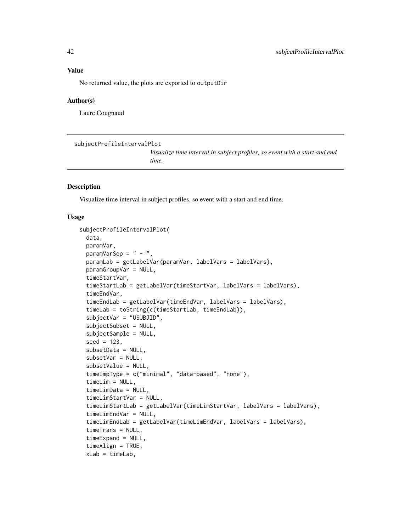<span id="page-41-0"></span>No returned value, the plots are exported to outputDir

#### Author(s)

Laure Cougnaud

```
subjectProfileIntervalPlot
```
*Visualize time interval in subject profiles, so event with a start and end time.*

#### Description

Visualize time interval in subject profiles, so event with a start and end time.

```
subjectProfileIntervalPlot(
  data,
 paramVar,
 paramVarSep = " - "paramLab = getLabelVar(paramVar, labelVars = labelVars),
  paramGroupVar = NULL,
  timeStartVar,
  timeStartLab = getLabelVar(timeStartVar, labelVars = labelVars),
  timeEndVar,
  timeEndLab = getLabelVar(timeEndVar, labelVars = labelVars),
  timeLab = toString(c(timeStartLab, timeEndLab)),
  subjectVar = "USUBJID",
  subjectSubset = NULL,
  subjectSample = NULL,
  seed = 123,
  subsetData = NULL,
  subsetVar = NULL,
  subsetValue = NULL,
  timeImpType = c("minimal", "data-based", "none"),
  timeLim = NULL,
  timeLimData = NULL,
  timeLimStartVar = NULL,
  timeLimStartLab = getLabelVar(timeLimStartVar, labelVars = labelVars),
  timeLimEndVar = NULL,
  timeLimEndLab = getLabelVar(timeLimEndVar, labelVars = labelVars),
  timeTrans = NULL,
  timeExpand = NULL,
  timeAlign = TRUE,
  xLab = timeLab,
```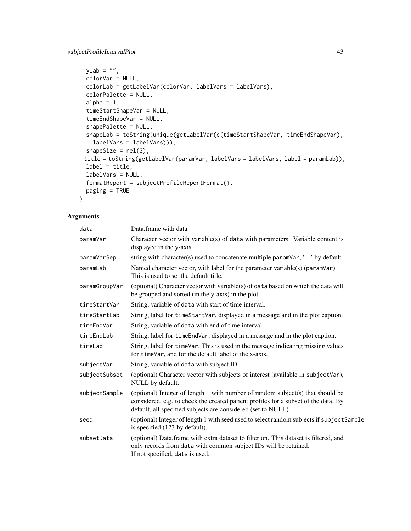## subjectProfileIntervalPlot 43

```
yLab = "",colorVar = NULL,
colorLab = getLabelVar(colorVar, labelVars = labelVars),
colorPalette = NULL,
alpha = 1,
timeStartShapeVar = NULL,
timeEndShapeVar = NULL,
shapePalette = NULL,
shapeLab = toString(unique(getLabelVar(c(timeStartShapeVar, timeEndShapeVar),
  labelVars = labelVars))),
shapeSize = rel(3),
title = toString(getLabelVar(paramVar, labelVars = labelVars, label = paramLab)),
label = title,
labelVars = NULL,
formatReport = subjectProfileReportFormat(),
paging = TRUE
```
#### Arguments

 $\mathcal{L}$ 

| data          | Data.frame with data.                                                                                                                                                                                                                  |
|---------------|----------------------------------------------------------------------------------------------------------------------------------------------------------------------------------------------------------------------------------------|
| paramVar      | Character vector with variable(s) of data with parameters. Variable content is<br>displayed in the y-axis.                                                                                                                             |
| paramVarSep   | string with character(s) used to concatenate multiple paramVar, '-' by default.                                                                                                                                                        |
| paramLab      | Named character vector, with label for the parameter variable(s) (paramVar).<br>This is used to set the default title.                                                                                                                 |
| paramGroupVar | (optional) Character vector with variable(s) of data based on which the data will<br>be grouped and sorted (in the y-axis) in the plot.                                                                                                |
| timeStartVar  | String, variable of data with start of time interval.                                                                                                                                                                                  |
| timeStartLab  | String, label for timeStartVar, displayed in a message and in the plot caption.                                                                                                                                                        |
| timeEndVar    | String, variable of data with end of time interval.                                                                                                                                                                                    |
| timeEndLab    | String, label for time EndVar, displayed in a message and in the plot caption.                                                                                                                                                         |
| timeLab       | String, label for timeVar. This is used in the message indicating missing values<br>for timeVar, and for the default label of the x-axis.                                                                                              |
| subjectVar    | String, variable of data with subject ID                                                                                                                                                                                               |
| subjectSubset | (optional) Character vector with subjects of interest (available in subjectVar),<br>NULL by default.                                                                                                                                   |
| subjectSample | (optional) Integer of length 1 with number of random subject(s) that should be<br>considered, e.g. to check the created patient profiles for a subset of the data. By<br>default, all specified subjects are considered (set to NULL). |
| seed          | (optional) Integer of length 1 with seed used to select random subjects if subject Sample<br>is specified (123 by default).                                                                                                            |
| subsetData    | (optional) Data.frame with extra dataset to filter on. This dataset is filtered, and<br>only records from data with common subject IDs will be retained.<br>If not specified, data is used.                                            |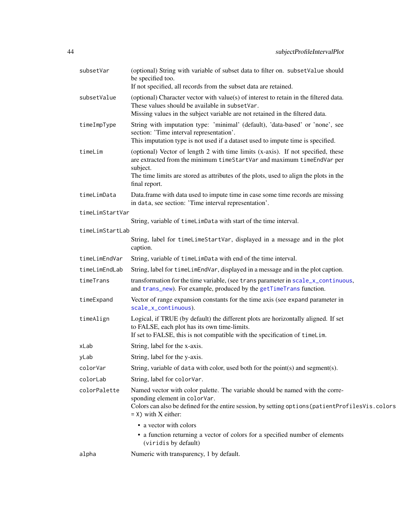<span id="page-43-0"></span>

| subsetVar       | (optional) String with variable of subset data to filter on. subsetValue should<br>be specified too.<br>If not specified, all records from the subset data are retained.                                                                                                         |
|-----------------|----------------------------------------------------------------------------------------------------------------------------------------------------------------------------------------------------------------------------------------------------------------------------------|
| subsetValue     | (optional) Character vector with value(s) of interest to retain in the filtered data.<br>These values should be available in subsetVar.<br>Missing values in the subject variable are not retained in the filtered data.                                                         |
| timeImpType     | String with imputation type: 'minimal' (default), 'data-based' or 'none', see<br>section: 'Time interval representation'.<br>This imputation type is not used if a dataset used to impute time is specified.                                                                     |
| timeLim         | (optional) Vector of length 2 with time limits (x-axis). If not specified, these<br>are extracted from the minimum timeStartVar and maximum timeEndVar per<br>subject.<br>The time limits are stored as attributes of the plots, used to align the plots in the<br>final report. |
| timeLimData     | Data.frame with data used to impute time in case some time records are missing<br>in data, see section: 'Time interval representation'.                                                                                                                                          |
| timeLimStartVar |                                                                                                                                                                                                                                                                                  |
|                 | String, variable of timeLimData with start of the time interval.                                                                                                                                                                                                                 |
| timeLimStartLab | String, label for timeLimeStartVar, displayed in a message and in the plot<br>caption.                                                                                                                                                                                           |
| timeLimEndVar   | String, variable of timeLimData with end of the time interval.                                                                                                                                                                                                                   |
| timeLimEndLab   | String, label for timeLimEndVar, displayed in a message and in the plot caption.                                                                                                                                                                                                 |
| timeTrans       | transformation for the time variable, (see trans parameter in scale_x_continuous,<br>and trans_new). For example, produced by the getTimeTrans function.                                                                                                                         |
| timeExpand      | Vector of range expansion constants for the time axis (see expand parameter in<br>scale_x_continuous).                                                                                                                                                                           |
| timeAlign       | Logical, if TRUE (by default) the different plots are horizontally aligned. If set<br>to FALSE, each plot has its own time-limits.<br>If set to FALSE, this is not compatible with the specification of timelim.                                                                 |
| xLab            | String, label for the x-axis.                                                                                                                                                                                                                                                    |
| yLab            | String, label for the y-axis.                                                                                                                                                                                                                                                    |
| colorVar        | String, variable of data with color, used both for the point(s) and segment(s).                                                                                                                                                                                                  |
| colorLab        | String, label for colorVar.                                                                                                                                                                                                                                                      |
| colorPalette    | Named vector with color palette. The variable should be named with the corre-<br>sponding element in colorVar.<br>Colors can also be defined for the entire session, by setting options (patient ProfilesVis.colors<br>$=$ X) with X either:                                     |
|                 | • a vector with colors                                                                                                                                                                                                                                                           |
|                 | • a function returning a vector of colors for a specified number of elements<br>(viridis by default)                                                                                                                                                                             |
| alpha           | Numeric with transparency, 1 by default.                                                                                                                                                                                                                                         |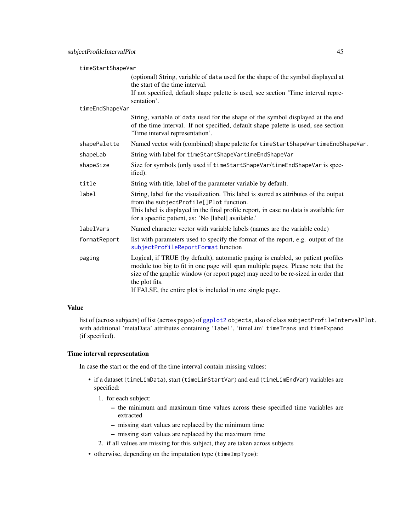<span id="page-44-0"></span>

| timeStartShapeVar |                                                                                                                                                                                                                                                                                                                                         |
|-------------------|-----------------------------------------------------------------------------------------------------------------------------------------------------------------------------------------------------------------------------------------------------------------------------------------------------------------------------------------|
|                   | (optional) String, variable of data used for the shape of the symbol displayed at<br>the start of the time interval.                                                                                                                                                                                                                    |
|                   | If not specified, default shape palette is used, see section 'Time interval repre-<br>sentation'.                                                                                                                                                                                                                                       |
| timeEndShapeVar   |                                                                                                                                                                                                                                                                                                                                         |
|                   | String, variable of data used for the shape of the symbol displayed at the end<br>of the time interval. If not specified, default shape palette is used, see section<br>'Time interval representation'.                                                                                                                                 |
| shapePalette      | Named vector with (combined) shape palette for time Start Shape Vartime End Shape Var.                                                                                                                                                                                                                                                  |
| shapeLab          | String with label for timeStartShapeVartimeEndShapeVar                                                                                                                                                                                                                                                                                  |
| shapeSize         | Size for symbols (only used if timeStartShapeVar/timeEndShapeVar is spec-<br>ified).                                                                                                                                                                                                                                                    |
| title             | String with title, label of the parameter variable by default.                                                                                                                                                                                                                                                                          |
| label             | String, label for the visualization. This label is stored as attributes of the output<br>from the subjectProfile[]Plot function.                                                                                                                                                                                                        |
|                   | This label is displayed in the final profile report, in case no data is available for<br>for a specific patient, as: 'No [label] available.'                                                                                                                                                                                            |
| labelVars         | Named character vector with variable labels (names are the variable code)                                                                                                                                                                                                                                                               |
| formatReport      | list with parameters used to specify the format of the report, e.g. output of the<br>subjectProfileReportFormat function                                                                                                                                                                                                                |
| paging            | Logical, if TRUE (by default), automatic paging is enabled, so patient profiles<br>module too big to fit in one page will span multiple pages. Please note that the<br>size of the graphic window (or report page) may need to be re-sized in order that<br>the plot fits.<br>If FALSE, the entire plot is included in one single page. |

list of (across subjects) of list (across pages) of [ggplot2](#page-0-0) objects, also of class subjectProfileIntervalPlot. with additional 'metaData' attributes containing 'label', 'timeLim' timeTrans and timeExpand (if specified).

## Time interval representation

In case the start or the end of the time interval contain missing values:

- if a dataset (timeLimData), start (timeLimStartVar) and end (timeLimEndVar) variables are specified:
	- 1. for each subject:
		- the minimum and maximum time values across these specified time variables are extracted
		- missing start values are replaced by the minimum time
		- missing start values are replaced by the maximum time
	- 2. if all values are missing for this subject, they are taken across subjects
- otherwise, depending on the imputation type (timeImpType):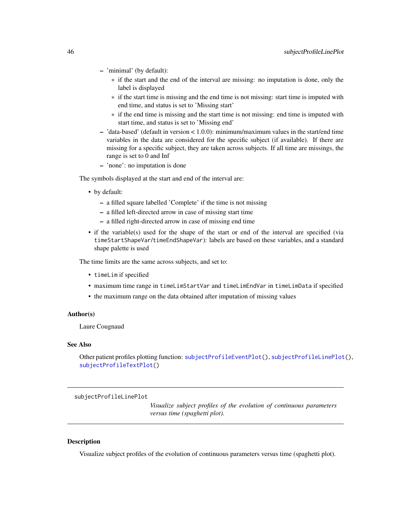- <span id="page-45-0"></span>– 'minimal' (by default):
	- \* if the start and the end of the interval are missing: no imputation is done, only the label is displayed
	- \* if the start time is missing and the end time is not missing: start time is imputed with end time, and status is set to 'Missing start'
	- \* if the end time is missing and the start time is not missing: end time is imputed with start time, and status is set to 'Missing end'
- 'data-based' (default in version < 1.0.0): minimum/maximum values in the start/end time variables in the data are considered for the specific subject (if available). If there are missing for a specific subject, they are taken across subjects. If all time are missings, the range is set to 0 and Inf
- 'none': no imputation is done

The symbols displayed at the start and end of the interval are:

- by default:
	- a filled square labelled 'Complete' if the time is not missing
	- a filled left-directed arrow in case of missing start time
	- a filled right-directed arrow in case of missing end time
- if the variable(s) used for the shape of the start or end of the interval are specified (via timeStartShapeVar/timeEndShapeVar): labels are based on these variables, and a standard shape palette is used

The time limits are the same across subjects, and set to:

- timeLim if specified
- maximum time range in timeLimStartVar and timeLimEndVar in timeLimData if specified
- the maximum range on the data obtained after imputation of missing values

#### Author(s)

Laure Cougnaud

## See Also

Other patient profiles plotting function: [subjectProfileEventPlot\(](#page-37-1)), [subjectProfileLinePlot\(](#page-45-1)), [subjectProfileTextPlot\(](#page-50-1))

<span id="page-45-1"></span>subjectProfileLinePlot

*Visualize subject profiles of the evolution of continuous parameters versus time (spaghetti plot).*

#### **Description**

Visualize subject profiles of the evolution of continuous parameters versus time (spaghetti plot).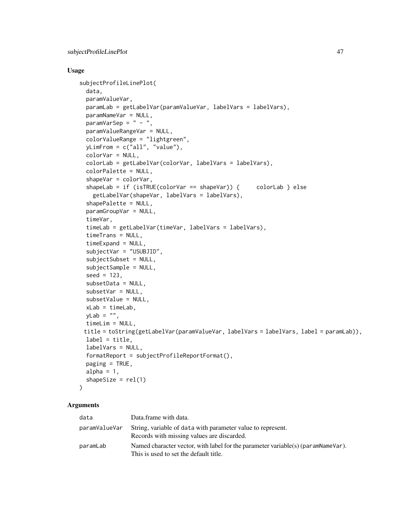#### Usage

```
subjectProfileLinePlot(
  data,
  paramValueVar,
 paramLab = getLabelVar(paramValueVar, labelVars = labelVars),
 paramNameVar = NULL,
 paramVarSep = " - "paramValueRangeVar = NULL,
  colorValueRange = "lightgreen",
 yLimFrom = c("all", "value"),
  colorVar = NULL,
  colorLab = getLabelVar(colorVar, labelVars = labelVars),
  colorPalette = NULL,
  shapeVar = colorVar,
  shapeLab = if (isTRUE(colorVar == shapeVar)) { colorLab } else
    getLabelVar(shapeVar, labelVars = labelVars),
  shapePalette = NULL,
 paramGroupVar = NULL,
  timeVar,
  timeLab = getLabelVar(timeVar, labelVars = labelVars),
  timeTrans = NULL,
  timeExpand = NULL,
  subjectVar = "USUBJID",
  subjectSubset = NULL,
  subjectSample = NULL,
  seed = 123,
  subsetData = NULL,
  subsetVar = NULL,
  subsetValue = NULL,
  xLab = timeLab,
 yLab = "",timeLim = NULL,
 title = toString(getLabelVar(paramValueVar, labelVars = labelVars, label = paramLab)),
 label = title,
 labelVars = NULL,
  formatReport = subjectProfileReportFormat(),
 paging = TRUE,
 alpha = 1,
  shapeSize = rel(1)\mathcal{L}
```

| data          | Data.frame with data.                                                                                                      |
|---------------|----------------------------------------------------------------------------------------------------------------------------|
| paramValueVar | String, variable of data with parameter value to represent.<br>Records with missing values are discarded.                  |
| paramLab      | Named character vector, with label for the parameter variable(s) (paramNameVar).<br>This is used to set the default title. |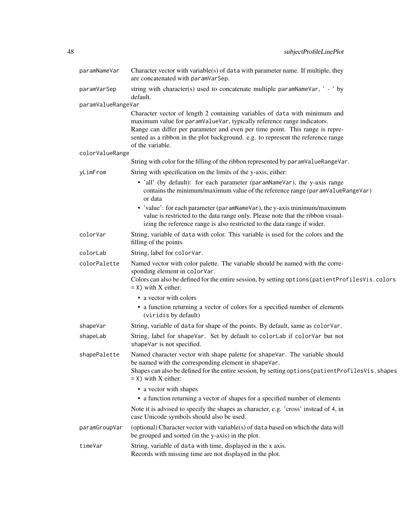| paramNameVar       | Character vector with variable(s) of data with parameter name. If multiple, they<br>are concatenated with paramVarSep.                                                                                                                                                                                                                                                                                            |
|--------------------|-------------------------------------------------------------------------------------------------------------------------------------------------------------------------------------------------------------------------------------------------------------------------------------------------------------------------------------------------------------------------------------------------------------------|
| paramVarSep        | string with character(s) used to concatenate multiple paramNameVar, ' - ' by<br>default.                                                                                                                                                                                                                                                                                                                          |
| paramValueRangeVar |                                                                                                                                                                                                                                                                                                                                                                                                                   |
|                    | Character vector of length 2 containing variables of data with minimum and<br>maximum value for paramValueVar, typically reference range indicators.<br>Range can differ per parameter and even per time point. This range is repre-<br>sented as a ribbon in the plot background. e.g. to represent the reference range<br>of the variable.                                                                      |
| colorValueRange    |                                                                                                                                                                                                                                                                                                                                                                                                                   |
|                    | String with color for the filling of the ribbon represented by paramValueRangeVar.                                                                                                                                                                                                                                                                                                                                |
| yLimFrom           | String with specification on the limits of the y-axis, either:                                                                                                                                                                                                                                                                                                                                                    |
|                    | • 'all' (by default): for each parameter (paramNameVar), the y-axis range<br>contains the minimum/maximum value of the reference range (paramValueRangeVar)<br>or data<br>• 'value': for each parameter (paramNameVar), the y-axis minimum/maximum<br>value is restricted to the data range only. Please note that the ribbon visual-<br>izing the reference range is also restricted to the data range if wider. |
| colorVar           | String, variable of data with color. This variable is used for the colors and the<br>filling of the points.                                                                                                                                                                                                                                                                                                       |
| colorLab           | String, label for colorVar.                                                                                                                                                                                                                                                                                                                                                                                       |
| colorPalette       | Named vector with color palette. The variable should be named with the corre-<br>sponding element in colorVar.<br>Colors can also be defined for the entire session, by setting options (patient ProfilesVis.colors<br>$=$ X) with X either:                                                                                                                                                                      |
|                    | • a vector with colors<br>• a function returning a vector of colors for a specified number of elements<br>(viridis by default)                                                                                                                                                                                                                                                                                    |
| shapeVar           | String, variable of data for shape of the points. By default, same as colorVar.                                                                                                                                                                                                                                                                                                                                   |
| shapeLab           | String, label for shapeVar. Set by default to colorLab if colorVar but not<br>shapeVar is not specified.                                                                                                                                                                                                                                                                                                          |
| shapePalette       | Named character vector with shape palette for shapeVar. The variable should<br>be named with the corresponding element in shapeVar.<br>Shapes can also be defined for the entire session, by setting options (patient ProfilesVis. shapes<br>$=$ X) with X either:                                                                                                                                                |
|                    | • a vector with shapes<br>• a function returning a vector of shapes for a specified number of elements                                                                                                                                                                                                                                                                                                            |
|                    | Note it is advised to specify the shapes as character, e.g. 'cross' instead of 4, in<br>case Unicode symbols should also be used.                                                                                                                                                                                                                                                                                 |
| paramGroupVar      | (optional) Character vector with variable(s) of data based on which the data will<br>be grouped and sorted (in the y-axis) in the plot.                                                                                                                                                                                                                                                                           |
| timeVar            | String, variable of data with time, displayed in the x axis.<br>Records with missing time are not displayed in the plot.                                                                                                                                                                                                                                                                                          |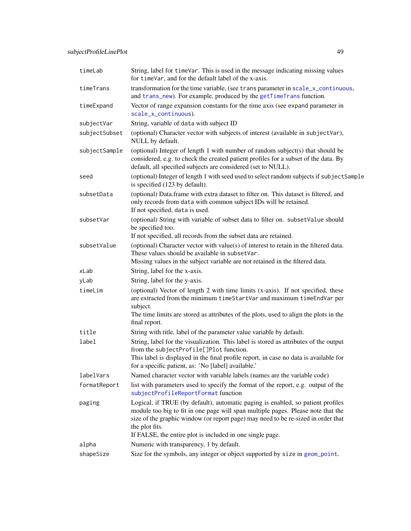<span id="page-48-0"></span>

| timeLab       | String, label for timeVar. This is used in the message indicating missing values<br>for timeVar, and for the default label of the x-axis.                                                                                                                                                                                               |
|---------------|-----------------------------------------------------------------------------------------------------------------------------------------------------------------------------------------------------------------------------------------------------------------------------------------------------------------------------------------|
| timeTrans     | transformation for the time variable, (see trans parameter in scale_x_continuous,<br>and trans_new). For example, produced by the getTimeTrans function.                                                                                                                                                                                |
| timeExpand    | Vector of range expansion constants for the time axis (see expand parameter in<br>scale_x_continuous).                                                                                                                                                                                                                                  |
| subjectVar    | String, variable of data with subject ID                                                                                                                                                                                                                                                                                                |
| subjectSubset | (optional) Character vector with subjects of interest (available in subjectVar),<br>NULL by default.                                                                                                                                                                                                                                    |
| subjectSample | (optional) Integer of length 1 with number of random subject(s) that should be<br>considered, e.g. to check the created patient profiles for a subset of the data. By<br>default, all specified subjects are considered (set to NULL).                                                                                                  |
| seed          | (optional) Integer of length 1 with seed used to select random subjects if subjectSample<br>is specified (123 by default).                                                                                                                                                                                                              |
| subsetData    | (optional) Data.frame with extra dataset to filter on. This dataset is filtered, and<br>only records from data with common subject IDs will be retained.<br>If not specified, data is used.                                                                                                                                             |
| subsetVar     | (optional) String with variable of subset data to filter on. subsetValue should<br>be specified too.                                                                                                                                                                                                                                    |
|               | If not specified, all records from the subset data are retained.                                                                                                                                                                                                                                                                        |
| subsetValue   | (optional) Character vector with value(s) of interest to retain in the filtered data.<br>These values should be available in subsetVar.<br>Missing values in the subject variable are not retained in the filtered data.                                                                                                                |
| xLab          | String, label for the x-axis.                                                                                                                                                                                                                                                                                                           |
| yLab          | String, label for the y-axis.                                                                                                                                                                                                                                                                                                           |
| timeLim       | (optional) Vector of length 2 with time limits (x-axis). If not specified, these<br>are extracted from the minimum timeStartVar and maximum timeEndVar per<br>subject.<br>The time limits are stored as attributes of the plots, used to align the plots in the<br>final report.                                                        |
| title         | String with title, label of the parameter value variable by default.                                                                                                                                                                                                                                                                    |
| label         | String, label for the visualization. This label is stored as attributes of the output<br>from the subjectProfile[]Plot function.<br>This label is displayed in the final profile report, in case no data is available for<br>for a specific patient, as: 'No [label] available.'                                                        |
| labelVars     | Named character vector with variable labels (names are the variable code)                                                                                                                                                                                                                                                               |
| formatReport  | list with parameters used to specify the format of the report, e.g. output of the<br>subjectProfileReportFormat function                                                                                                                                                                                                                |
| paging        | Logical, if TRUE (by default), automatic paging is enabled, so patient profiles<br>module too big to fit in one page will span multiple pages. Please note that the<br>size of the graphic window (or report page) may need to be re-sized in order that<br>the plot fits.<br>If FALSE, the entire plot is included in one single page. |
| alpha         | Numeric with transparency, 1 by default.                                                                                                                                                                                                                                                                                                |
| shapeSize     | Size for the symbols, any integer or object supported by size in geom_point.                                                                                                                                                                                                                                                            |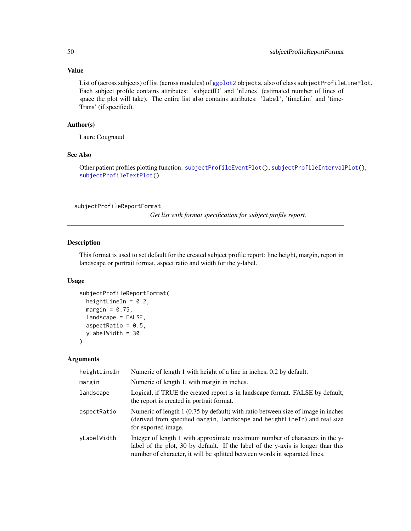List of (across subjects) of list (across modules) of [ggplot2](#page-0-0) objects, also of class subjectProfileLinePlot. Each subject profile contains attributes: 'subjectID' and 'nLines' (estimated number of lines of space the plot will take). The entire list also contains attributes: 'label', 'timeLim' and 'time-Trans' (if specified).

#### Author(s)

Laure Cougnaud

## See Also

Other patient profiles plotting function: [subjectProfileEventPlot\(](#page-37-1)), [subjectProfileIntervalPlot\(](#page-41-1)), [subjectProfileTextPlot\(](#page-50-1))

<span id="page-49-1"></span>subjectProfileReportFormat

*Get list with format specification for subject profile report.*

## Description

This format is used to set default for the created subject profile report: line height, margin, report in landscape or portrait format, aspect ratio and width for the y-label.

#### Usage

```
subjectProfileReportFormat(
 heightLineIn = 0.2,
 margin = 0.75,
 landscape = FALSE,
  aspectRatio = 0.5,
 yLabelWidth = 30
\lambda
```

| heightLineIn | Numeric of length 1 with height of a line in inches, 0.2 by default.                                                                                                                                                                          |
|--------------|-----------------------------------------------------------------------------------------------------------------------------------------------------------------------------------------------------------------------------------------------|
| margin       | Numeric of length 1, with margin in inches.                                                                                                                                                                                                   |
| landscape    | Logical, if TRUE the created report is in landscape format. FALSE by default,<br>the report is created in portrait format.                                                                                                                    |
| aspectRatio  | Numeric of length 1 (0.75 by default) with ratio between size of image in inches<br>(derived from specified margin, landscape and heightLineIn) and real size<br>for exported image.                                                          |
| yLabelWidth  | Integer of length 1 with approximate maximum number of characters in the y-<br>label of the plot, 30 by default. If the label of the y-axis is longer than this<br>number of character, it will be splitted between words in separated lines. |

<span id="page-49-0"></span>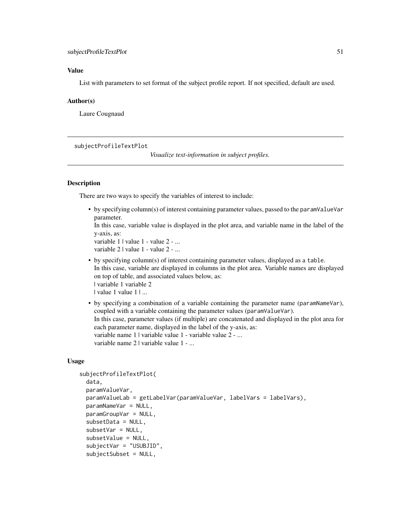<span id="page-50-0"></span>List with parameters to set format of the subject profile report. If not specified, default are used.

#### Author(s)

Laure Cougnaud

#### <span id="page-50-1"></span>subjectProfileTextPlot

*Visualize text-information in subject profiles.*

#### Description

There are two ways to specify the variables of interest to include:

• by specifying column(s) of interest containing parameter values, passed to the paramValueVar parameter.

In this case, variable value is displayed in the plot area, and variable name in the label of the y-axis, as:

```
variable 1 | value 1 - value 2 - ...
variable 2 | value 1 - value 2 - ...
```
- by specifying column(s) of interest containing parameter values, displayed as a table. In this case, variable are displayed in columns in the plot area. Variable names are displayed on top of table, and associated values below, as: | variable 1 variable 2 | value 1 value 1 | ...
- by specifying a combination of a variable containing the parameter name (paramNameVar), coupled with a variable containing the parameter values (paramValueVar). In this case, parameter values (if multiple) are concatenated and displayed in the plot area for each parameter name, displayed in the label of the y-axis, as: variable name 1 | variable value 1 - variable value 2 - ... variable name 2 | variable value 1 - ...

```
subjectProfileTextPlot(
  data,
  paramValueVar,
  paramValueLab = getLabelVar(paramValueVar, labelVars = labelVars),
 paramNameVar = NULL,
  paramGroupVar = NULL,
  subsetData = NULL,
  subsetVar = NULL,
  subsetValue = NULL,
  subjectVar = "USUBJID",
  subjectSubset = NULL,
```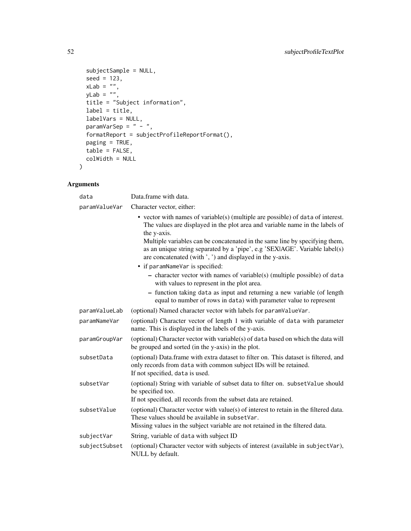```
subjectSample = NULL,
 seed = 123,
  xLab = ",
  yLab = "",title = "Subject information",
 label = title,
 labelVars = NULL,
  paramVarSep = " - ",
  formatReport = subjectProfileReportFormat(),
 paging = TRUE,
 table = FALSE,colWidth = NULL
)
```

| data          | Data.frame with data.                                                                                                                                                                                                                                                 |
|---------------|-----------------------------------------------------------------------------------------------------------------------------------------------------------------------------------------------------------------------------------------------------------------------|
| paramValueVar | Character vector, either:                                                                                                                                                                                                                                             |
|               | $\bullet$ vector with names of variable(s) (multiple are possible) of data of interest.<br>The values are displayed in the plot area and variable name in the labels of<br>the y-axis.<br>Multiple variables can be concatenated in the same line by specifying them, |
|               | as an unique string separated by a 'pipe', e.g 'SEXIAGE'. Variable label(s)<br>are concatenated (with ', ') and displayed in the y-axis.                                                                                                                              |
|               | • if paramNameVar is specified:                                                                                                                                                                                                                                       |
|               | - character vector with names of variable(s) (multiple possible) of data<br>with values to represent in the plot area.                                                                                                                                                |
|               | - function taking data as input and returning a new variable (of length<br>equal to number of rows in data) with parameter value to represent                                                                                                                         |
| paramValueLab | (optional) Named character vector with labels for paramValueVar.                                                                                                                                                                                                      |
| paramNameVar  | (optional) Character vector of length 1 with variable of data with parameter<br>name. This is displayed in the labels of the y-axis.                                                                                                                                  |
| paramGroupVar | (optional) Character vector with variable(s) of data based on which the data will<br>be grouped and sorted (in the y-axis) in the plot.                                                                                                                               |
| subsetData    | (optional) Data.frame with extra dataset to filter on. This dataset is filtered, and<br>only records from data with common subject IDs will be retained.<br>If not specified, data is used.                                                                           |
| subsetVar     | (optional) String with variable of subset data to filter on. subset Value should<br>be specified too.<br>If not specified, all records from the subset data are retained.                                                                                             |
| subsetValue   | (optional) Character vector with value(s) of interest to retain in the filtered data.<br>These values should be available in subsetVar.<br>Missing values in the subject variable are not retained in the filtered data.                                              |
| subjectVar    | String, variable of data with subject ID                                                                                                                                                                                                                              |
| subjectSubset | (optional) Character vector with subjects of interest (available in subjectVar),<br>NULL by default.                                                                                                                                                                  |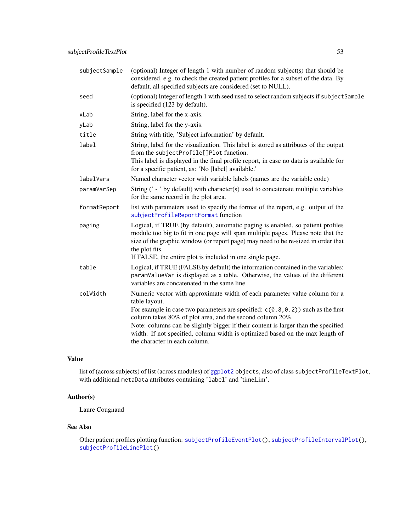<span id="page-52-0"></span>

| subjectSample | (optional) Integer of length 1 with number of random subject(s) that should be<br>considered, e.g. to check the created patient profiles for a subset of the data. By<br>default, all specified subjects are considered (set to NULL).                                                                                                  |
|---------------|-----------------------------------------------------------------------------------------------------------------------------------------------------------------------------------------------------------------------------------------------------------------------------------------------------------------------------------------|
| seed          | (optional) Integer of length 1 with seed used to select random subjects if subject Sample<br>is specified (123 by default).                                                                                                                                                                                                             |
| xLab          | String, label for the x-axis.                                                                                                                                                                                                                                                                                                           |
| yLab          | String, label for the y-axis.                                                                                                                                                                                                                                                                                                           |
| title         | String with title, 'Subject information' by default.                                                                                                                                                                                                                                                                                    |
| label         | String, label for the visualization. This label is stored as attributes of the output<br>from the subjectProfile[]Plot function.<br>This label is displayed in the final profile report, in case no data is available for<br>for a specific patient, as: 'No [label] available.'                                                        |
| labelVars     | Named character vector with variable labels (names are the variable code)                                                                                                                                                                                                                                                               |
| paramVarSep   | String $(' - ' by default)$ with character(s) used to concatenate multiple variables<br>for the same record in the plot area.                                                                                                                                                                                                           |
| formatReport  | list with parameters used to specify the format of the report, e.g. output of the<br>subjectProfileReportFormat function                                                                                                                                                                                                                |
| paging        | Logical, if TRUE (by default), automatic paging is enabled, so patient profiles<br>module too big to fit in one page will span multiple pages. Please note that the<br>size of the graphic window (or report page) may need to be re-sized in order that<br>the plot fits.<br>If FALSE, the entire plot is included in one single page. |
| table         | Logical, if TRUE (FALSE by default) the information contained in the variables:<br>paramValueVar is displayed as a table. Otherwise, the values of the different<br>variables are concatenated in the same line.                                                                                                                        |
| colWidth      | Numeric vector with approximate width of each parameter value column for a<br>table layout.<br>For example in case two parameters are specified: $c(0.8, 0.2)$ such as the first                                                                                                                                                        |
|               | column takes 80% of plot area, and the second column 20%.                                                                                                                                                                                                                                                                               |
|               | Note: columns can be slightly bigger if their content is larger than the specified<br>width. If not specified, column width is optimized based on the max length of<br>the character in each column.                                                                                                                                    |

list of (across subjects) of list (across modules) of [ggplot2](#page-0-0) objects, also of class subjectProfileTextPlot, with additional metaData attributes containing 'label' and 'timeLim'.

## Author(s)

Laure Cougnaud

## See Also

Other patient profiles plotting function: [subjectProfileEventPlot\(](#page-37-1)), [subjectProfileIntervalPlot\(](#page-41-1)), [subjectProfileLinePlot\(](#page-45-1))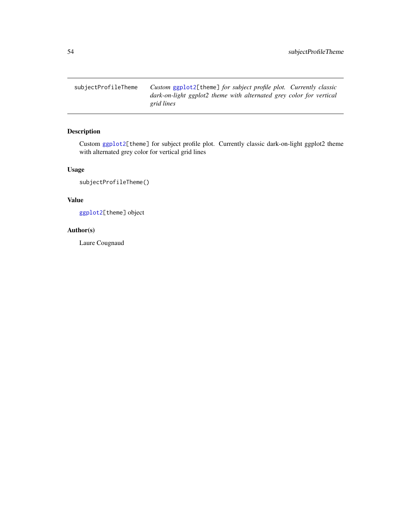<span id="page-53-0"></span>subjectProfileTheme *Custom* [ggplot2\[](#page-0-0)theme] *for subject profile plot. Currently classic dark-on-light ggplot2 theme with alternated grey color for vertical grid lines*

## Description

Custom [ggplot2\[](#page-0-0)theme] for subject profile plot. Currently classic dark-on-light ggplot2 theme with alternated grey color for vertical grid lines

## Usage

subjectProfileTheme()

## Value

[ggplot2\[](#page-0-0)theme] object

#### Author(s)

Laure Cougnaud